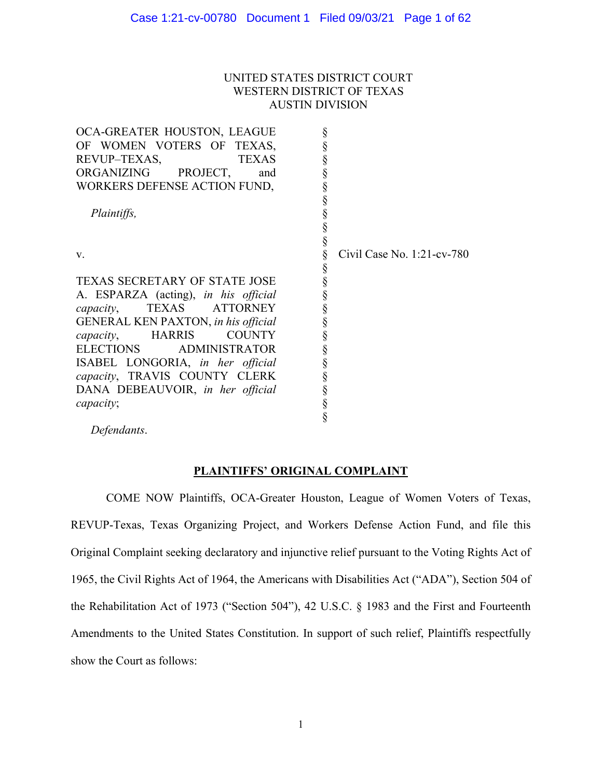## UNITED STATES DISTRICT COURT WESTERN DISTRICT OF TEXAS AUSTIN DIVISION

| OCA-GREATER HOUSTON, LEAGUE                 |                               |
|---------------------------------------------|-------------------------------|
| OF WOMEN VOTERS OF TEXAS,                   |                               |
| REVUP-TEXAS,<br><b>TEXAS</b>                |                               |
| ORGANIZING<br>PROJECT,<br>and               |                               |
| WORKERS DEFENSE ACTION FUND,                |                               |
|                                             |                               |
| Plaintiffs,                                 |                               |
|                                             |                               |
|                                             |                               |
| V.                                          | Civil Case No. $1:21$ -cv-780 |
|                                             |                               |
| <b>TEXAS SECRETARY OF STATE JOSE</b>        |                               |
| A. ESPARZA (acting), in his official        |                               |
| TEXAS<br><b>ATTORNEY</b><br>capacity,       |                               |
| GENERAL KEN PAXTON, in his official         |                               |
| <b>HARRIS</b><br><b>COUNTY</b><br>capacity, | §                             |
| ELECTIONS<br><b>ADMINISTRATOR</b>           |                               |
| ISABEL LONGORIA, in her official            | §                             |
| capacity, TRAVIS COUNTY CLERK               |                               |
| DANA DEBEAUVOIR, in her official            |                               |
| capacity;                                   |                               |
|                                             |                               |
|                                             |                               |

*Defendants*.

# **PLAINTIFFS' ORIGINAL COMPLAINT**

COME NOW Plaintiffs, OCA-Greater Houston, League of Women Voters of Texas, REVUP-Texas, Texas Organizing Project, and Workers Defense Action Fund, and file this Original Complaint seeking declaratory and injunctive relief pursuant to the Voting Rights Act of 1965, the Civil Rights Act of 1964, the Americans with Disabilities Act ("ADA"), Section 504 of the Rehabilitation Act of 1973 ("Section 504"), 42 U.S.C. § 1983 and the First and Fourteenth Amendments to the United States Constitution. In support of such relief, Plaintiffs respectfully show the Court as follows: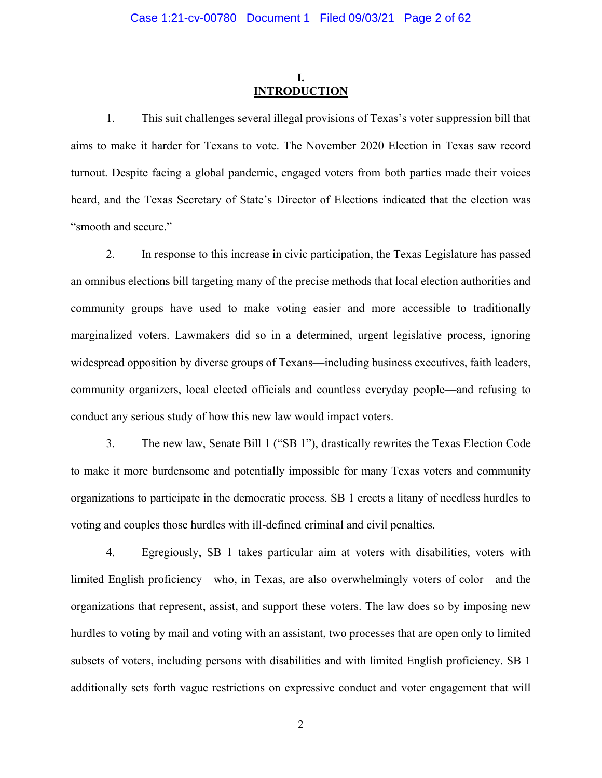### **I. INTRODUCTION**

1. This suit challenges several illegal provisions of Texas's voter suppression bill that aims to make it harder for Texans to vote. The November 2020 Election in Texas saw record turnout. Despite facing a global pandemic, engaged voters from both parties made their voices heard, and the Texas Secretary of State's Director of Elections indicated that the election was "smooth and secure."

2. In response to this increase in civic participation, the Texas Legislature has passed an omnibus elections bill targeting many of the precise methods that local election authorities and community groups have used to make voting easier and more accessible to traditionally marginalized voters. Lawmakers did so in a determined, urgent legislative process, ignoring widespread opposition by diverse groups of Texans—including business executives, faith leaders, community organizers, local elected officials and countless everyday people—and refusing to conduct any serious study of how this new law would impact voters.

3. The new law, Senate Bill 1 ("SB 1"), drastically rewrites the Texas Election Code to make it more burdensome and potentially impossible for many Texas voters and community organizations to participate in the democratic process. SB 1 erects a litany of needless hurdles to voting and couples those hurdles with ill-defined criminal and civil penalties.

4. Egregiously, SB 1 takes particular aim at voters with disabilities, voters with limited English proficiency—who, in Texas, are also overwhelmingly voters of color—and the organizations that represent, assist, and support these voters. The law does so by imposing new hurdles to voting by mail and voting with an assistant, two processes that are open only to limited subsets of voters, including persons with disabilities and with limited English proficiency. SB 1 additionally sets forth vague restrictions on expressive conduct and voter engagement that will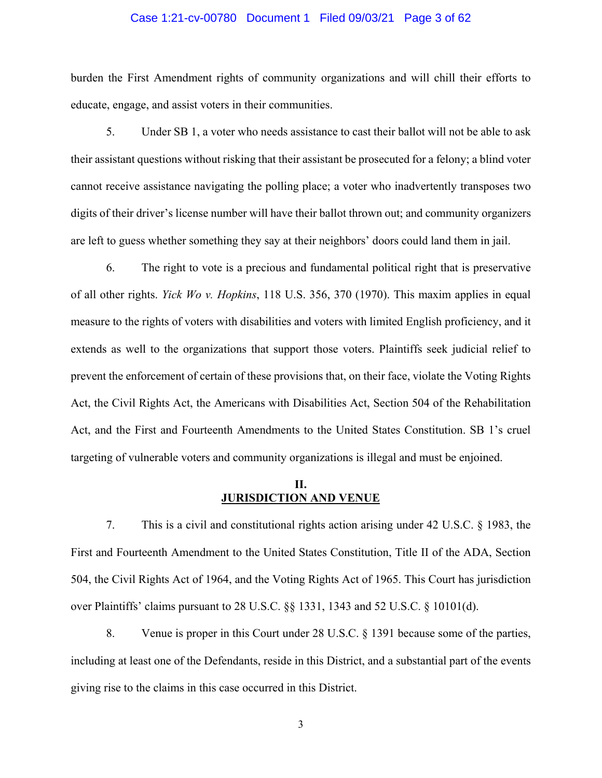#### Case 1:21-cv-00780 Document 1 Filed 09/03/21 Page 3 of 62

burden the First Amendment rights of community organizations and will chill their efforts to educate, engage, and assist voters in their communities.

5. Under SB 1, a voter who needs assistance to cast their ballot will not be able to ask their assistant questions without risking that their assistant be prosecuted for a felony; a blind voter cannot receive assistance navigating the polling place; a voter who inadvertently transposes two digits of their driver's license number will have their ballot thrown out; and community organizers are left to guess whether something they say at their neighbors' doors could land them in jail.

6. The right to vote is a precious and fundamental political right that is preservative of all other rights. *Yick Wo v. Hopkins*, 118 U.S. 356, 370 (1970). This maxim applies in equal measure to the rights of voters with disabilities and voters with limited English proficiency, and it extends as well to the organizations that support those voters. Plaintiffs seek judicial relief to prevent the enforcement of certain of these provisions that, on their face, violate the Voting Rights Act, the Civil Rights Act, the Americans with Disabilities Act, Section 504 of the Rehabilitation Act, and the First and Fourteenth Amendments to the United States Constitution. SB 1's cruel targeting of vulnerable voters and community organizations is illegal and must be enjoined.

## **II. JURISDICTION AND VENUE**

7. This is a civil and constitutional rights action arising under 42 U.S.C. § 1983, the First and Fourteenth Amendment to the United States Constitution, Title II of the ADA, Section 504, the Civil Rights Act of 1964, and the Voting Rights Act of 1965. This Court has jurisdiction over Plaintiffs' claims pursuant to 28 U.S.C. §§ 1331, 1343 and 52 U.S.C. § 10101(d).

8. Venue is proper in this Court under 28 U.S.C. § 1391 because some of the parties, including at least one of the Defendants, reside in this District, and a substantial part of the events giving rise to the claims in this case occurred in this District.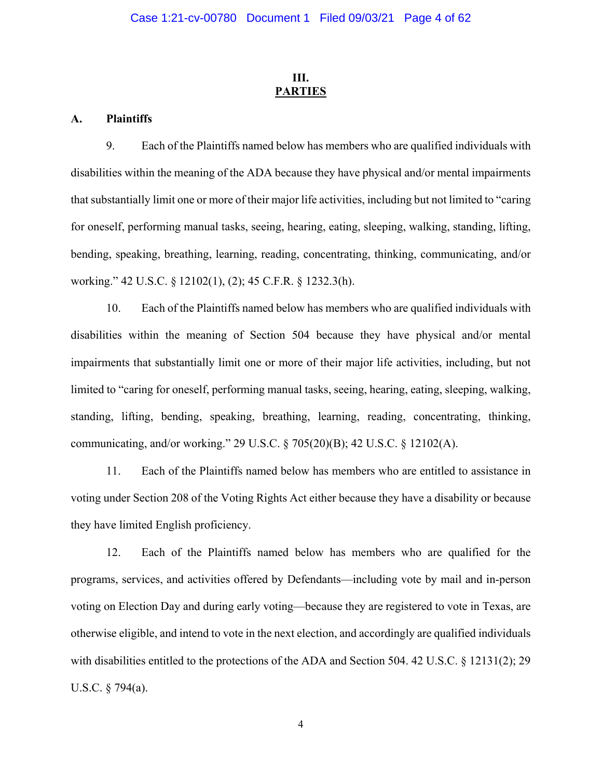## **III. PARTIES**

#### **A. Plaintiffs**

9. Each of the Plaintiffs named below has members who are qualified individuals with disabilities within the meaning of the ADA because they have physical and/or mental impairments that substantially limit one or more of their major life activities, including but not limited to "caring for oneself, performing manual tasks, seeing, hearing, eating, sleeping, walking, standing, lifting, bending, speaking, breathing, learning, reading, concentrating, thinking, communicating, and/or working." 42 U.S.C. § 12102(1), (2); 45 C.F.R. § 1232.3(h).

10. Each of the Plaintiffs named below has members who are qualified individuals with disabilities within the meaning of Section 504 because they have physical and/or mental impairments that substantially limit one or more of their major life activities, including, but not limited to "caring for oneself, performing manual tasks, seeing, hearing, eating, sleeping, walking, standing, lifting, bending, speaking, breathing, learning, reading, concentrating, thinking, communicating, and/or working." 29 U.S.C. § 705(20)(B); 42 U.S.C. § 12102(A).

11. Each of the Plaintiffs named below has members who are entitled to assistance in voting under Section 208 of the Voting Rights Act either because they have a disability or because they have limited English proficiency.

12. Each of the Plaintiffs named below has members who are qualified for the programs, services, and activities offered by Defendants—including vote by mail and in-person voting on Election Day and during early voting—because they are registered to vote in Texas, are otherwise eligible, and intend to vote in the next election, and accordingly are qualified individuals with disabilities entitled to the protections of the ADA and Section 504. 42 U.S.C. § 12131(2); 29 U.S.C. § 794(a).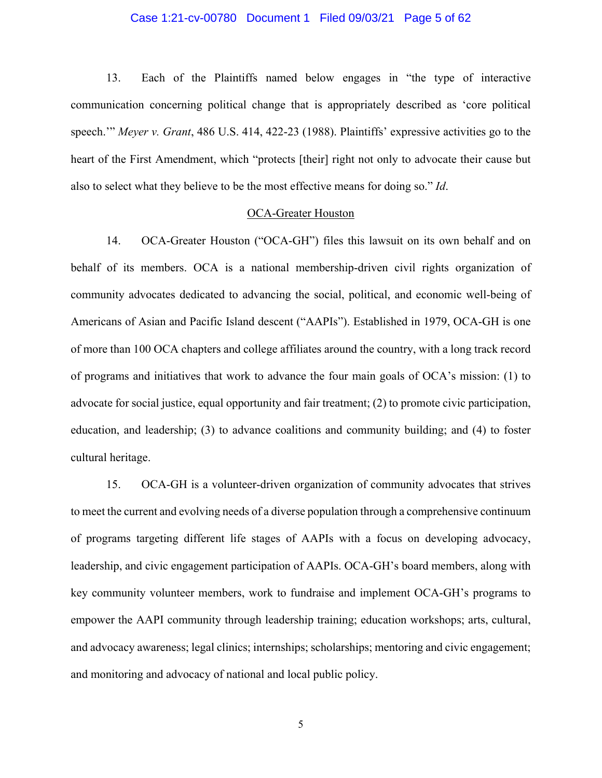#### Case 1:21-cv-00780 Document 1 Filed 09/03/21 Page 5 of 62

13. Each of the Plaintiffs named below engages in "the type of interactive communication concerning political change that is appropriately described as 'core political speech.'" *Meyer v. Grant*, 486 U.S. 414, 422-23 (1988). Plaintiffs' expressive activities go to the heart of the First Amendment, which "protects [their] right not only to advocate their cause but also to select what they believe to be the most effective means for doing so." *Id*.

### OCA-Greater Houston

14. OCA-Greater Houston ("OCA-GH") files this lawsuit on its own behalf and on behalf of its members. OCA is a national membership-driven civil rights organization of community advocates dedicated to advancing the social, political, and economic well-being of Americans of Asian and Pacific Island descent ("AAPIs"). Established in 1979, OCA-GH is one of more than 100 OCA chapters and college affiliates around the country, with a long track record of programs and initiatives that work to advance the four main goals of OCA's mission: (1) to advocate for social justice, equal opportunity and fair treatment; (2) to promote civic participation, education, and leadership; (3) to advance coalitions and community building; and (4) to foster cultural heritage.

15. OCA-GH is a volunteer-driven organization of community advocates that strives to meet the current and evolving needs of a diverse population through a comprehensive continuum of programs targeting different life stages of AAPIs with a focus on developing advocacy, leadership, and civic engagement participation of AAPIs. OCA-GH's board members, along with key community volunteer members, work to fundraise and implement OCA-GH's programs to empower the AAPI community through leadership training; education workshops; arts, cultural, and advocacy awareness; legal clinics; internships; scholarships; mentoring and civic engagement; and monitoring and advocacy of national and local public policy.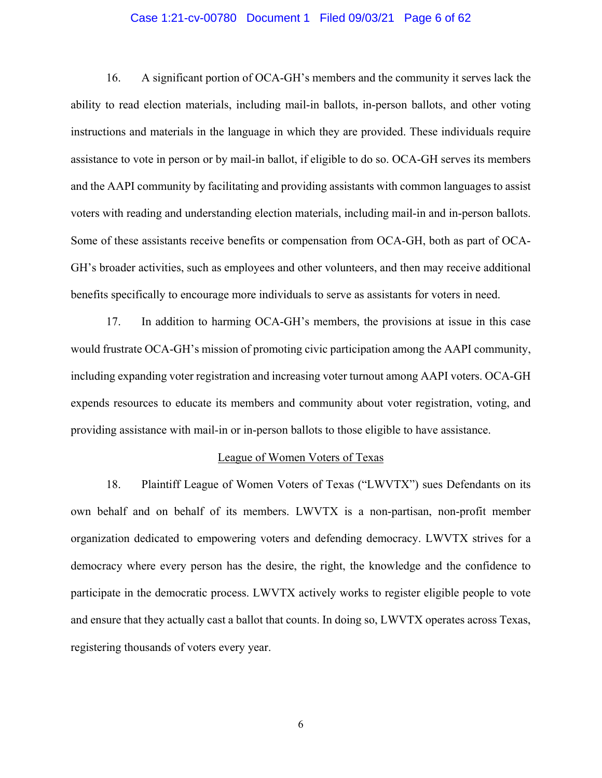#### Case 1:21-cv-00780 Document 1 Filed 09/03/21 Page 6 of 62

16. A significant portion of OCA-GH's members and the community it serves lack the ability to read election materials, including mail-in ballots, in-person ballots, and other voting instructions and materials in the language in which they are provided. These individuals require assistance to vote in person or by mail-in ballot, if eligible to do so. OCA-GH serves its members and the AAPI community by facilitating and providing assistants with common languages to assist voters with reading and understanding election materials, including mail-in and in-person ballots. Some of these assistants receive benefits or compensation from OCA-GH, both as part of OCA-GH's broader activities, such as employees and other volunteers, and then may receive additional benefits specifically to encourage more individuals to serve as assistants for voters in need.

17. In addition to harming OCA-GH's members, the provisions at issue in this case would frustrate OCA-GH's mission of promoting civic participation among the AAPI community, including expanding voter registration and increasing voter turnout among AAPI voters. OCA-GH expends resources to educate its members and community about voter registration, voting, and providing assistance with mail-in or in-person ballots to those eligible to have assistance.

#### League of Women Voters of Texas

18. Plaintiff League of Women Voters of Texas ("LWVTX") sues Defendants on its own behalf and on behalf of its members. LWVTX is a non-partisan, non-profit member organization dedicated to empowering voters and defending democracy. LWVTX strives for a democracy where every person has the desire, the right, the knowledge and the confidence to participate in the democratic process. LWVTX actively works to register eligible people to vote and ensure that they actually cast a ballot that counts. In doing so, LWVTX operates across Texas, registering thousands of voters every year.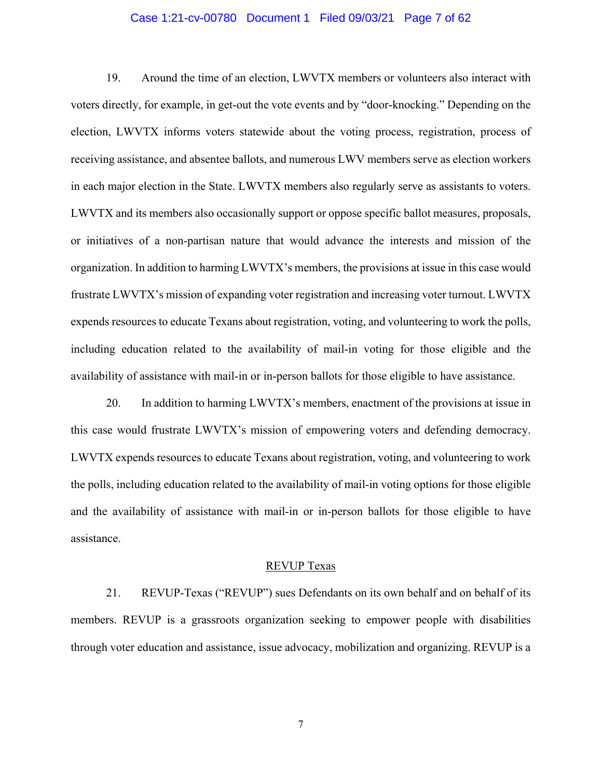#### Case 1:21-cv-00780 Document 1 Filed 09/03/21 Page 7 of 62

19. Around the time of an election, LWVTX members or volunteers also interact with voters directly, for example, in get-out the vote events and by "door-knocking." Depending on the election, LWVTX informs voters statewide about the voting process, registration, process of receiving assistance, and absentee ballots, and numerous LWV members serve as election workers in each major election in the State. LWVTX members also regularly serve as assistants to voters. LWVTX and its members also occasionally support or oppose specific ballot measures, proposals, or initiatives of a non-partisan nature that would advance the interests and mission of the organization. In addition to harming LWVTX's members, the provisions at issue in this case would frustrate LWVTX's mission of expanding voter registration and increasing voter turnout. LWVTX expends resources to educate Texans about registration, voting, and volunteering to work the polls, including education related to the availability of mail-in voting for those eligible and the availability of assistance with mail-in or in-person ballots for those eligible to have assistance.

20. In addition to harming LWVTX's members, enactment of the provisions at issue in this case would frustrate LWVTX's mission of empowering voters and defending democracy. LWVTX expends resources to educate Texans about registration, voting, and volunteering to work the polls, including education related to the availability of mail-in voting options for those eligible and the availability of assistance with mail-in or in-person ballots for those eligible to have assistance.

#### REVUP Texas

21. REVUP-Texas ("REVUP") sues Defendants on its own behalf and on behalf of its members. REVUP is a grassroots organization seeking to empower people with disabilities through voter education and assistance, issue advocacy, mobilization and organizing. REVUP is a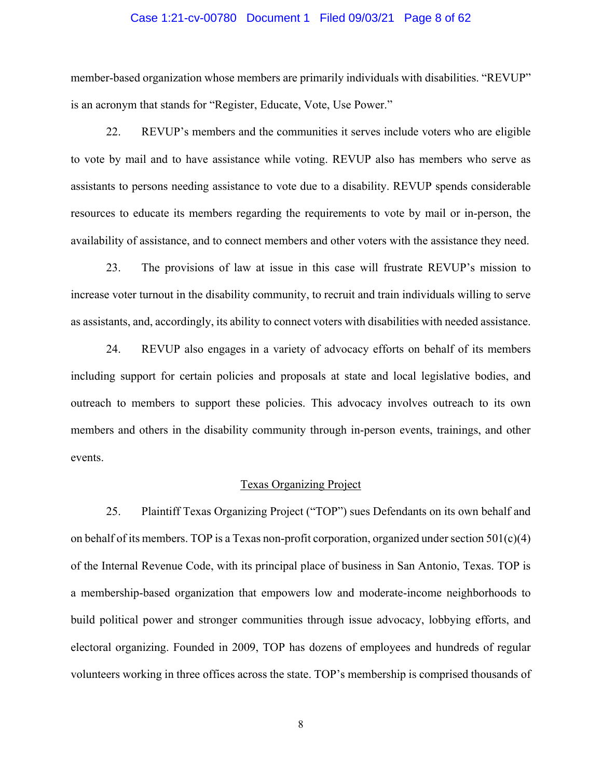#### Case 1:21-cv-00780 Document 1 Filed 09/03/21 Page 8 of 62

member-based organization whose members are primarily individuals with disabilities. "REVUP" is an acronym that stands for "Register, Educate, Vote, Use Power."

22. REVUP's members and the communities it serves include voters who are eligible to vote by mail and to have assistance while voting. REVUP also has members who serve as assistants to persons needing assistance to vote due to a disability. REVUP spends considerable resources to educate its members regarding the requirements to vote by mail or in-person, the availability of assistance, and to connect members and other voters with the assistance they need.

23. The provisions of law at issue in this case will frustrate REVUP's mission to increase voter turnout in the disability community, to recruit and train individuals willing to serve as assistants, and, accordingly, its ability to connect voters with disabilities with needed assistance.

24. REVUP also engages in a variety of advocacy efforts on behalf of its members including support for certain policies and proposals at state and local legislative bodies, and outreach to members to support these policies. This advocacy involves outreach to its own members and others in the disability community through in-person events, trainings, and other events.

#### Texas Organizing Project

25. Plaintiff Texas Organizing Project ("TOP") sues Defendants on its own behalf and on behalf of its members. TOP is a Texas non-profit corporation, organized under section  $501(c)(4)$ of the Internal Revenue Code, with its principal place of business in San Antonio, Texas. TOP is a membership-based organization that empowers low and moderate-income neighborhoods to build political power and stronger communities through issue advocacy, lobbying efforts, and electoral organizing. Founded in 2009, TOP has dozens of employees and hundreds of regular volunteers working in three offices across the state. TOP's membership is comprised thousands of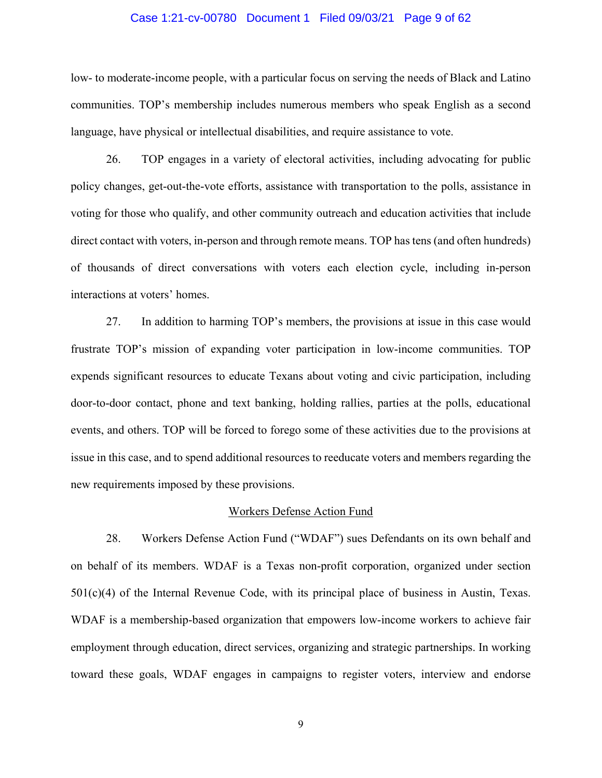#### Case 1:21-cv-00780 Document 1 Filed 09/03/21 Page 9 of 62

low- to moderate-income people, with a particular focus on serving the needs of Black and Latino communities. TOP's membership includes numerous members who speak English as a second language, have physical or intellectual disabilities, and require assistance to vote.

26. TOP engages in a variety of electoral activities, including advocating for public policy changes, get-out-the-vote efforts, assistance with transportation to the polls, assistance in voting for those who qualify, and other community outreach and education activities that include direct contact with voters, in-person and through remote means. TOP has tens (and often hundreds) of thousands of direct conversations with voters each election cycle, including in-person interactions at voters' homes.

27. In addition to harming TOP's members, the provisions at issue in this case would frustrate TOP's mission of expanding voter participation in low-income communities. TOP expends significant resources to educate Texans about voting and civic participation, including door-to-door contact, phone and text banking, holding rallies, parties at the polls, educational events, and others. TOP will be forced to forego some of these activities due to the provisions at issue in this case, and to spend additional resources to reeducate voters and members regarding the new requirements imposed by these provisions.

### Workers Defense Action Fund

28. Workers Defense Action Fund ("WDAF") sues Defendants on its own behalf and on behalf of its members. WDAF is a Texas non-profit corporation, organized under section 501(c)(4) of the Internal Revenue Code, with its principal place of business in Austin, Texas. WDAF is a membership-based organization that empowers low-income workers to achieve fair employment through education, direct services, organizing and strategic partnerships. In working toward these goals, WDAF engages in campaigns to register voters, interview and endorse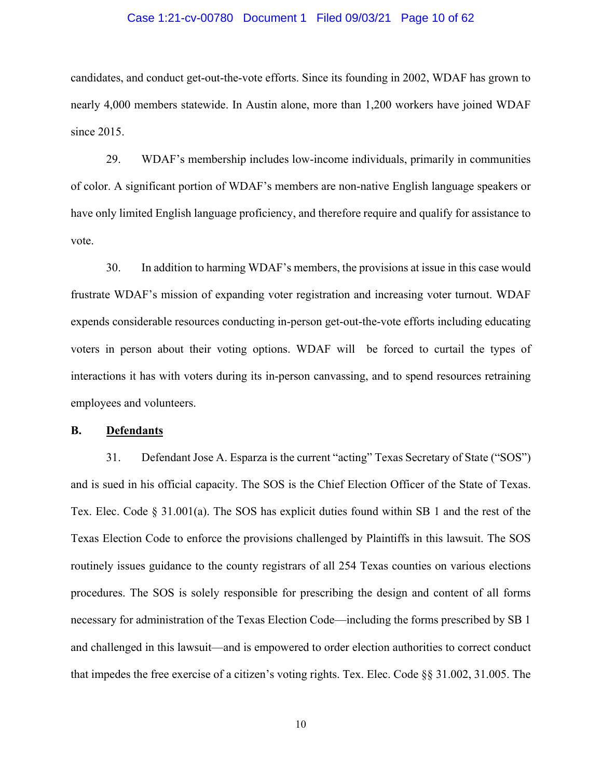#### Case 1:21-cv-00780 Document 1 Filed 09/03/21 Page 10 of 62

candidates, and conduct get-out-the-vote efforts. Since its founding in 2002, WDAF has grown to nearly 4,000 members statewide. In Austin alone, more than 1,200 workers have joined WDAF since 2015.

29. WDAF's membership includes low-income individuals, primarily in communities of color. A significant portion of WDAF's members are non-native English language speakers or have only limited English language proficiency, and therefore require and qualify for assistance to vote.

30. In addition to harming WDAF's members, the provisions at issue in this case would frustrate WDAF's mission of expanding voter registration and increasing voter turnout. WDAF expends considerable resources conducting in-person get-out-the-vote efforts including educating voters in person about their voting options. WDAF will be forced to curtail the types of interactions it has with voters during its in-person canvassing, and to spend resources retraining employees and volunteers.

### **B. Defendants**

31. Defendant Jose A. Esparza is the current "acting" Texas Secretary of State ("SOS") and is sued in his official capacity. The SOS is the Chief Election Officer of the State of Texas. Tex. Elec. Code § 31.001(a). The SOS has explicit duties found within SB 1 and the rest of the Texas Election Code to enforce the provisions challenged by Plaintiffs in this lawsuit. The SOS routinely issues guidance to the county registrars of all 254 Texas counties on various elections procedures. The SOS is solely responsible for prescribing the design and content of all forms necessary for administration of the Texas Election Code—including the forms prescribed by SB 1 and challenged in this lawsuit—and is empowered to order election authorities to correct conduct that impedes the free exercise of a citizen's voting rights. Tex. Elec. Code §§ 31.002, 31.005. The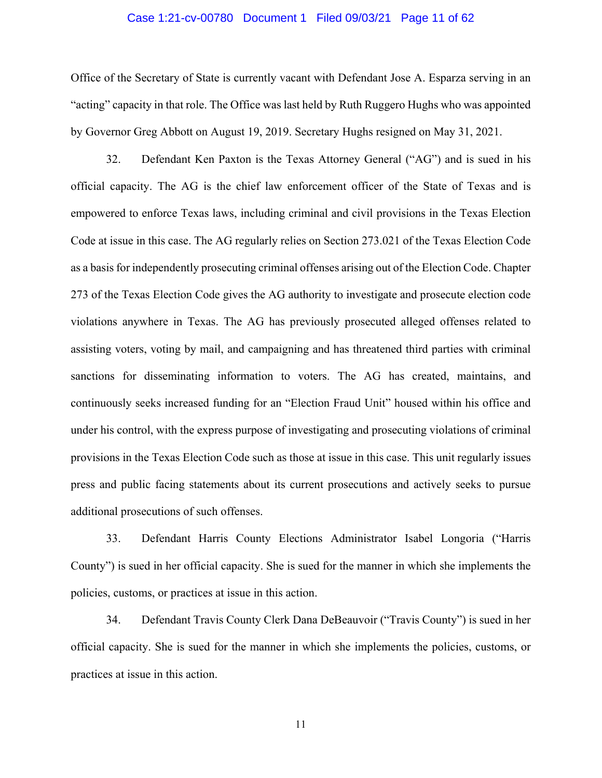#### Case 1:21-cv-00780 Document 1 Filed 09/03/21 Page 11 of 62

Office of the Secretary of State is currently vacant with Defendant Jose A. Esparza serving in an "acting" capacity in that role. The Office was last held by Ruth Ruggero Hughs who was appointed by Governor Greg Abbott on August 19, 2019. Secretary Hughs resigned on May 31, 2021.

32. Defendant Ken Paxton is the Texas Attorney General ("AG") and is sued in his official capacity. The AG is the chief law enforcement officer of the State of Texas and is empowered to enforce Texas laws, including criminal and civil provisions in the Texas Election Code at issue in this case. The AG regularly relies on Section 273.021 of the Texas Election Code as a basis for independently prosecuting criminal offenses arising out of the Election Code. Chapter 273 of the Texas Election Code gives the AG authority to investigate and prosecute election code violations anywhere in Texas. The AG has previously prosecuted alleged offenses related to assisting voters, voting by mail, and campaigning and has threatened third parties with criminal sanctions for disseminating information to voters. The AG has created, maintains, and continuously seeks increased funding for an "Election Fraud Unit" housed within his office and under his control, with the express purpose of investigating and prosecuting violations of criminal provisions in the Texas Election Code such as those at issue in this case. This unit regularly issues press and public facing statements about its current prosecutions and actively seeks to pursue additional prosecutions of such offenses.

33. Defendant Harris County Elections Administrator Isabel Longoria ("Harris County") is sued in her official capacity. She is sued for the manner in which she implements the policies, customs, or practices at issue in this action.

34. Defendant Travis County Clerk Dana DeBeauvoir ("Travis County") is sued in her official capacity. She is sued for the manner in which she implements the policies, customs, or practices at issue in this action.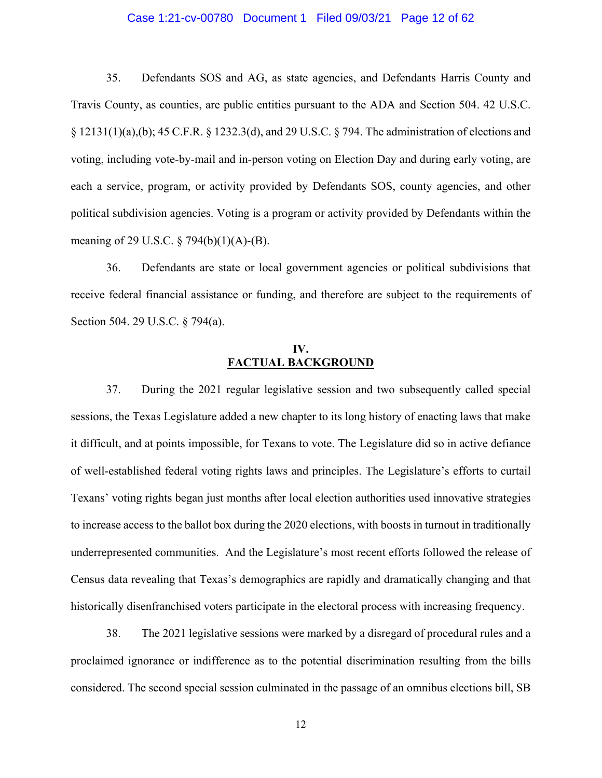### Case 1:21-cv-00780 Document 1 Filed 09/03/21 Page 12 of 62

35. Defendants SOS and AG, as state agencies, and Defendants Harris County and Travis County, as counties, are public entities pursuant to the ADA and Section 504. 42 U.S.C. § 12131(1)(a),(b); 45 C.F.R. § 1232.3(d), and 29 U.S.C. § 794. The administration of elections and voting, including vote-by-mail and in-person voting on Election Day and during early voting, are each a service, program, or activity provided by Defendants SOS, county agencies, and other political subdivision agencies. Voting is a program or activity provided by Defendants within the meaning of 29 U.S.C. § 794(b)(1)(A)-(B).

36. Defendants are state or local government agencies or political subdivisions that receive federal financial assistance or funding, and therefore are subject to the requirements of Section 504. 29 U.S.C. § 794(a).

### **IV. FACTUAL BACKGROUND**

37. During the 2021 regular legislative session and two subsequently called special sessions, the Texas Legislature added a new chapter to its long history of enacting laws that make it difficult, and at points impossible, for Texans to vote. The Legislature did so in active defiance of well-established federal voting rights laws and principles. The Legislature's efforts to curtail Texans' voting rights began just months after local election authorities used innovative strategies to increase access to the ballot box during the 2020 elections, with boosts in turnout in traditionally underrepresented communities. And the Legislature's most recent efforts followed the release of Census data revealing that Texas's demographics are rapidly and dramatically changing and that historically disenfranchised voters participate in the electoral process with increasing frequency.

38. The 2021 legislative sessions were marked by a disregard of procedural rules and a proclaimed ignorance or indifference as to the potential discrimination resulting from the bills considered. The second special session culminated in the passage of an omnibus elections bill, SB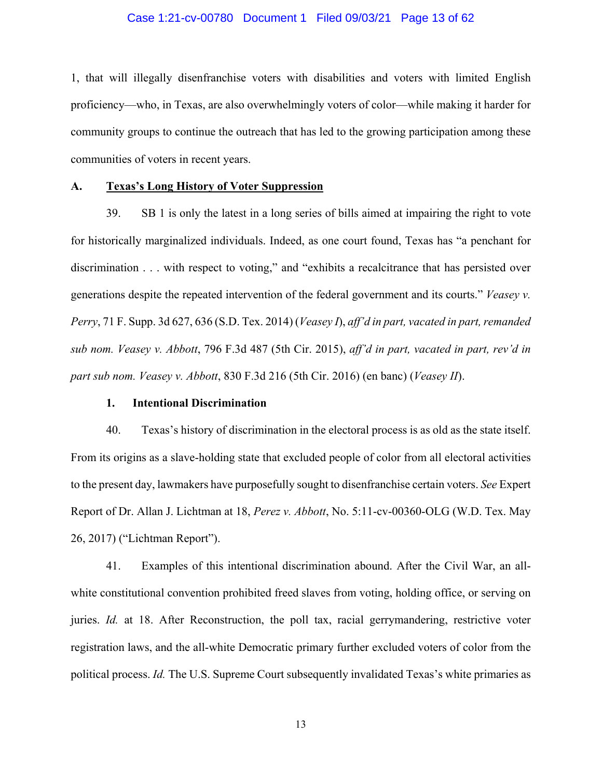#### Case 1:21-cv-00780 Document 1 Filed 09/03/21 Page 13 of 62

1, that will illegally disenfranchise voters with disabilities and voters with limited English proficiency—who, in Texas, are also overwhelmingly voters of color—while making it harder for community groups to continue the outreach that has led to the growing participation among these communities of voters in recent years.

### **A. Texas's Long History of Voter Suppression**

39. SB 1 is only the latest in a long series of bills aimed at impairing the right to vote for historically marginalized individuals. Indeed, as one court found, Texas has "a penchant for discrimination . . . with respect to voting," and "exhibits a recalcitrance that has persisted over generations despite the repeated intervention of the federal government and its courts." *Veasey v. Perry*, 71 F. Supp. 3d 627, 636 (S.D. Tex. 2014) (*Veasey I*), *aff'd in part, vacated in part, remanded sub nom. Veasey v. Abbott*, 796 F.3d 487 (5th Cir. 2015), *aff'd in part, vacated in part, rev'd in part sub nom. Veasey v. Abbott*, 830 F.3d 216 (5th Cir. 2016) (en banc) (*Veasey II*).

#### **1. Intentional Discrimination**

40. Texas's history of discrimination in the electoral process is as old as the state itself. From its origins as a slave-holding state that excluded people of color from all electoral activities to the present day, lawmakers have purposefully sought to disenfranchise certain voters. *See* Expert Report of Dr. Allan J. Lichtman at 18, *Perez v. Abbott*, No. 5:11-cv-00360-OLG (W.D. Tex. May 26, 2017) ("Lichtman Report").

41. Examples of this intentional discrimination abound. After the Civil War, an allwhite constitutional convention prohibited freed slaves from voting, holding office, or serving on juries. *Id.* at 18. After Reconstruction, the poll tax, racial gerrymandering, restrictive voter registration laws, and the all-white Democratic primary further excluded voters of color from the political process. *Id.* The U.S. Supreme Court subsequently invalidated Texas's white primaries as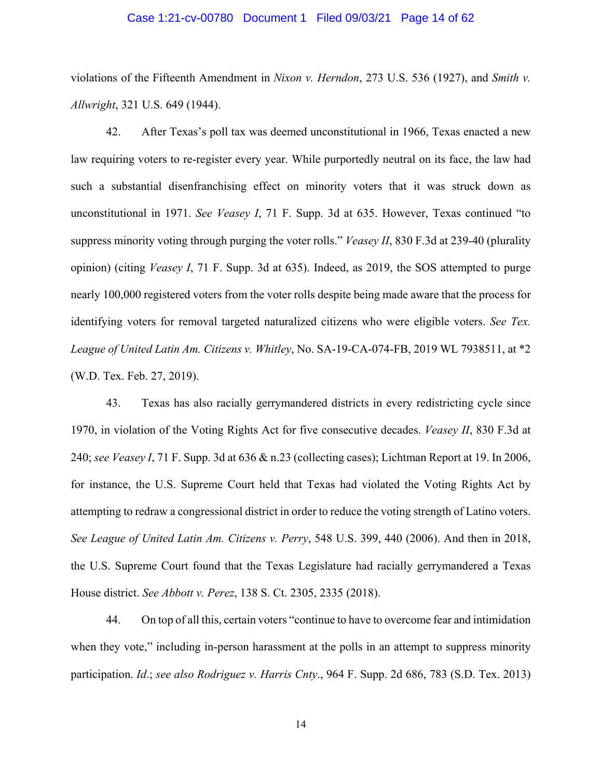#### Case 1:21-cv-00780 Document 1 Filed 09/03/21 Page 14 of 62

violations of the Fifteenth Amendment in *Nixon v. Herndon*, 273 U.S. 536 (1927), and *Smith v. Allwright*, 321 U.S. 649 (1944).

42. After Texas's poll tax was deemed unconstitutional in 1966, Texas enacted a new law requiring voters to re-register every year. While purportedly neutral on its face, the law had such a substantial disenfranchising effect on minority voters that it was struck down as unconstitutional in 1971. *See Veasey I*, 71 F. Supp. 3d at 635. However, Texas continued "to suppress minority voting through purging the voter rolls." *Veasey II*, 830 F.3d at 239-40 (plurality opinion) (citing *Veasey I*, 71 F. Supp. 3d at 635). Indeed, as 2019, the SOS attempted to purge nearly 100,000 registered voters from the voter rolls despite being made aware that the process for identifying voters for removal targeted naturalized citizens who were eligible voters. *See Tex. League of United Latin Am. Citizens v. Whitley*, No. SA-19-CA-074-FB, 2019 WL 7938511, at \*2 (W.D. Tex. Feb. 27, 2019).

43. Texas has also racially gerrymandered districts in every redistricting cycle since 1970, in violation of the Voting Rights Act for five consecutive decades. *Veasey II*, 830 F.3d at 240; *see Veasey I*, 71 F. Supp. 3d at 636 & n.23 (collecting cases); Lichtman Report at 19. In 2006, for instance, the U.S. Supreme Court held that Texas had violated the Voting Rights Act by attempting to redraw a congressional district in order to reduce the voting strength of Latino voters. *See League of United Latin Am. Citizens v. Perry*, 548 U.S. 399, 440 (2006). And then in 2018, the U.S. Supreme Court found that the Texas Legislature had racially gerrymandered a Texas House district. *See Abbott v. Perez*, 138 S. Ct. 2305, 2335 (2018).

44. On top of all this, certain voters "continue to have to overcome fear and intimidation when they vote," including in-person harassment at the polls in an attempt to suppress minority participation. *Id*.; *see also Rodriguez v. Harris Cnty*., 964 F. Supp. 2d 686, 783 (S.D. Tex. 2013)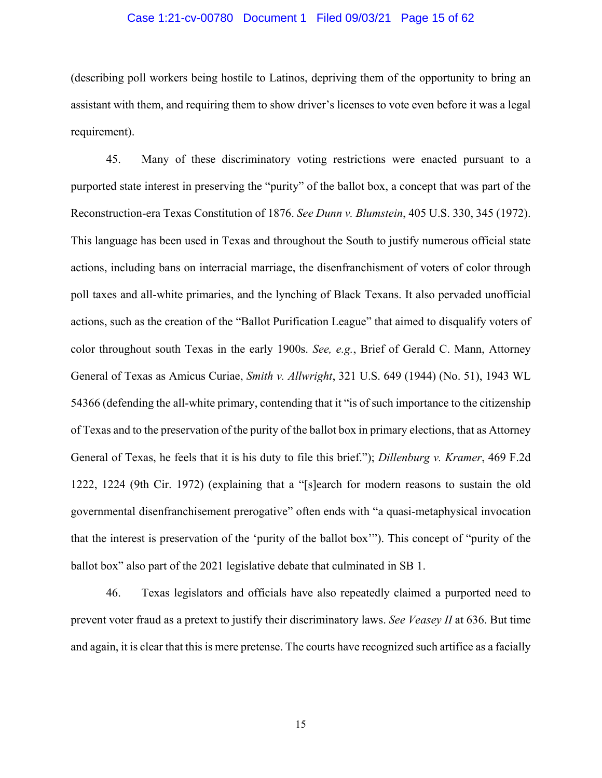### Case 1:21-cv-00780 Document 1 Filed 09/03/21 Page 15 of 62

(describing poll workers being hostile to Latinos, depriving them of the opportunity to bring an assistant with them, and requiring them to show driver's licenses to vote even before it was a legal requirement).

45. Many of these discriminatory voting restrictions were enacted pursuant to a purported state interest in preserving the "purity" of the ballot box, a concept that was part of the Reconstruction-era Texas Constitution of 1876. *See Dunn v. Blumstein*, 405 U.S. 330, 345 (1972). This language has been used in Texas and throughout the South to justify numerous official state actions, including bans on interracial marriage, the disenfranchisment of voters of color through poll taxes and all-white primaries, and the lynching of Black Texans. It also pervaded unofficial actions, such as the creation of the "Ballot Purification League" that aimed to disqualify voters of color throughout south Texas in the early 1900s. *See, e.g.*, Brief of Gerald C. Mann, Attorney General of Texas as Amicus Curiae, *Smith v. Allwright*, 321 U.S. 649 (1944) (No. 51), 1943 WL 54366 (defending the all-white primary, contending that it "is of such importance to the citizenship of Texas and to the preservation of the purity of the ballot box in primary elections, that as Attorney General of Texas, he feels that it is his duty to file this brief."); *Dillenburg v. Kramer*, 469 F.2d 1222, 1224 (9th Cir. 1972) (explaining that a "[s]earch for modern reasons to sustain the old governmental disenfranchisement prerogative" often ends with "a quasi-metaphysical invocation that the interest is preservation of the 'purity of the ballot box'"). This concept of "purity of the ballot box" also part of the 2021 legislative debate that culminated in SB 1.

46. Texas legislators and officials have also repeatedly claimed a purported need to prevent voter fraud as a pretext to justify their discriminatory laws. *See Veasey II* at 636. But time and again, it is clear that this is mere pretense. The courts have recognized such artifice as a facially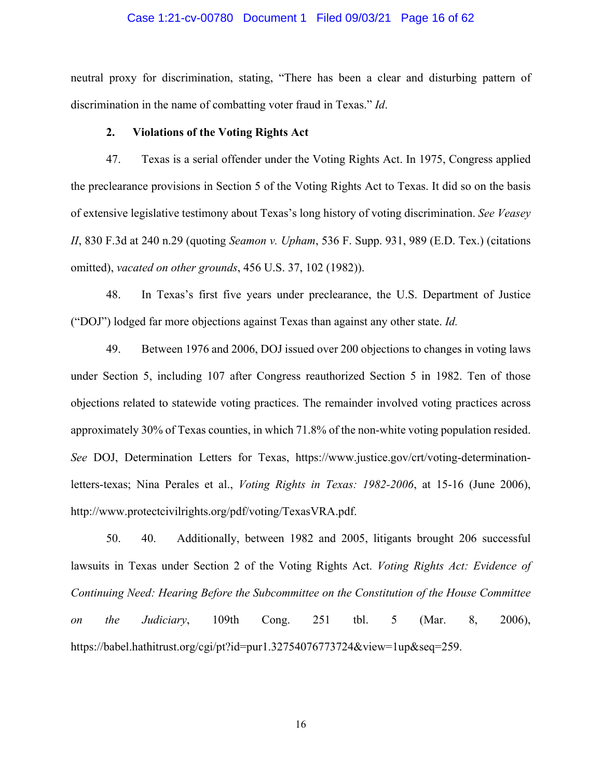#### Case 1:21-cv-00780 Document 1 Filed 09/03/21 Page 16 of 62

neutral proxy for discrimination, stating, "There has been a clear and disturbing pattern of discrimination in the name of combatting voter fraud in Texas." *Id*.

#### **2. Violations of the Voting Rights Act**

47. Texas is a serial offender under the Voting Rights Act. In 1975, Congress applied the preclearance provisions in Section 5 of the Voting Rights Act to Texas. It did so on the basis of extensive legislative testimony about Texas's long history of voting discrimination. *See Veasey II*, 830 F.3d at 240 n.29 (quoting *Seamon v. Upham*, 536 F. Supp. 931, 989 (E.D. Tex.) (citations omitted), *vacated on other grounds*, 456 U.S. 37, 102 (1982)).

48. In Texas's first five years under preclearance, the U.S. Department of Justice ("DOJ") lodged far more objections against Texas than against any other state. *Id.* 

49. Between 1976 and 2006, DOJ issued over 200 objections to changes in voting laws under Section 5, including 107 after Congress reauthorized Section 5 in 1982. Ten of those objections related to statewide voting practices. The remainder involved voting practices across approximately 30% of Texas counties, in which 71.8% of the non-white voting population resided. *See* DOJ, Determination Letters for Texas, https://www.justice.gov/crt/voting-determinationletters-texas; Nina Perales et al., *Voting Rights in Texas: 1982-2006*, at 15-16 (June 2006), http://www.protectcivilrights.org/pdf/voting/TexasVRA.pdf.

50. 40. Additionally, between 1982 and 2005, litigants brought 206 successful lawsuits in Texas under Section 2 of the Voting Rights Act. *Voting Rights Act: Evidence of Continuing Need: Hearing Before the Subcommittee on the Constitution of the House Committee on the Judiciary*, 109th Cong. 251 tbl. 5 (Mar. 8, 2006), https://babel.hathitrust.org/cgi/pt?id=pur1.32754076773724&view=1up&seq=259.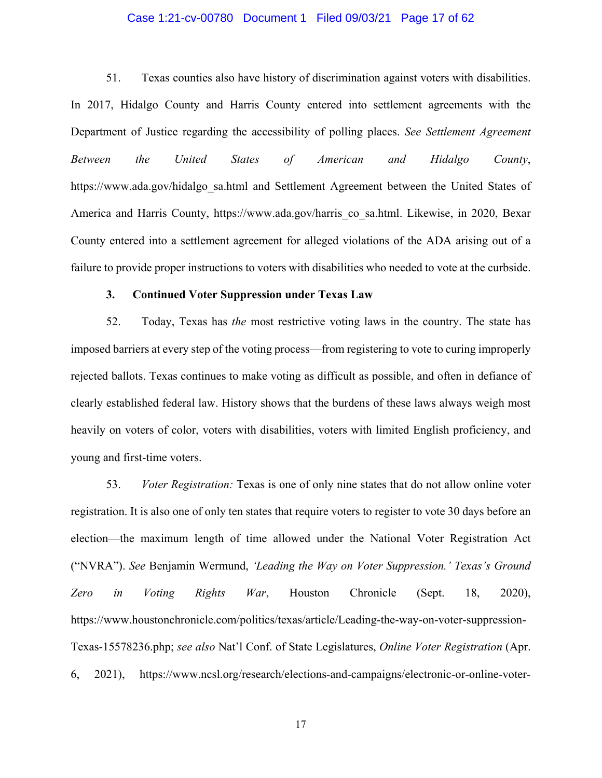### Case 1:21-cv-00780 Document 1 Filed 09/03/21 Page 17 of 62

51. Texas counties also have history of discrimination against voters with disabilities. In 2017, Hidalgo County and Harris County entered into settlement agreements with the Department of Justice regarding the accessibility of polling places. *See Settlement Agreement Between the United States of American and Hidalgo County*, https://www.ada.gov/hidalgo\_sa.html and Settlement Agreement between the United States of America and Harris County, https://www.ada.gov/harris co\_sa.html. Likewise, in 2020, Bexar County entered into a settlement agreement for alleged violations of the ADA arising out of a failure to provide proper instructions to voters with disabilities who needed to vote at the curbside.

#### **3. Continued Voter Suppression under Texas Law**

52. Today, Texas has *the* most restrictive voting laws in the country. The state has imposed barriers at every step of the voting process—from registering to vote to curing improperly rejected ballots. Texas continues to make voting as difficult as possible, and often in defiance of clearly established federal law. History shows that the burdens of these laws always weigh most heavily on voters of color, voters with disabilities, voters with limited English proficiency, and young and first-time voters.

53. *Voter Registration:* Texas is one of only nine states that do not allow online voter registration. It is also one of only ten states that require voters to register to vote 30 days before an election—the maximum length of time allowed under the National Voter Registration Act ("NVRA"). *See* Benjamin Wermund, *'Leading the Way on Voter Suppression.' Texas's Ground Zero in Voting Rights War*, Houston Chronicle (Sept. 18, 2020), https://www.houstonchronicle.com/politics/texas/article/Leading-the-way-on-voter-suppression-Texas-15578236.php; *see also* Nat'l Conf. of State Legislatures, *Online Voter Registration* (Apr. 6, 2021), https://www.ncsl.org/research/elections-and-campaigns/electronic-or-online-voter-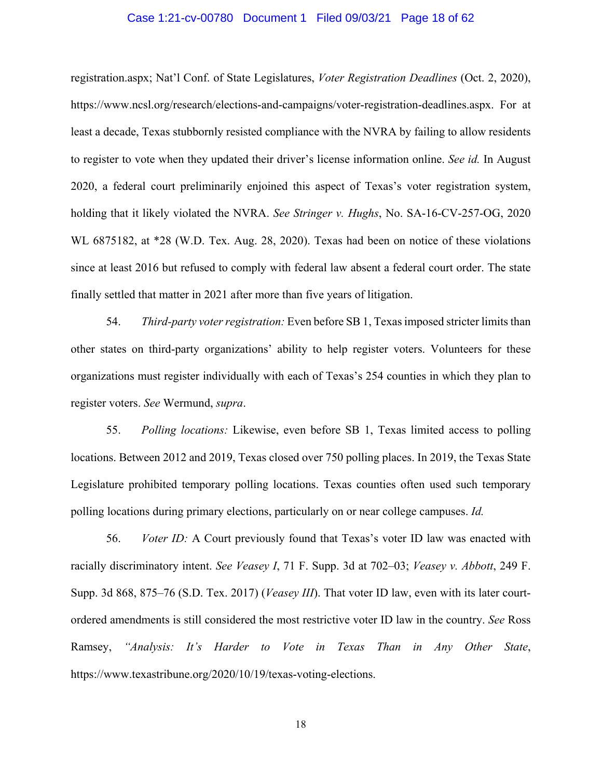#### Case 1:21-cv-00780 Document 1 Filed 09/03/21 Page 18 of 62

registration.aspx; Nat'l Conf. of State Legislatures, *Voter Registration Deadlines* (Oct. 2, 2020), https://www.ncsl.org/research/elections-and-campaigns/voter-registration-deadlines.aspx. For at least a decade, Texas stubbornly resisted compliance with the NVRA by failing to allow residents to register to vote when they updated their driver's license information online. *See id.* In August 2020, a federal court preliminarily enjoined this aspect of Texas's voter registration system, holding that it likely violated the NVRA. *See Stringer v. Hughs*, No. SA-16-CV-257-OG, 2020 WL 6875182, at \*28 (W.D. Tex. Aug. 28, 2020). Texas had been on notice of these violations since at least 2016 but refused to comply with federal law absent a federal court order. The state finally settled that matter in 2021 after more than five years of litigation.

54. *Third-party voter registration:* Even before SB 1, Texas imposed stricter limits than other states on third-party organizations' ability to help register voters. Volunteers for these organizations must register individually with each of Texas's 254 counties in which they plan to register voters. *See* Wermund, *supra*.

55. *Polling locations:* Likewise, even before SB 1, Texas limited access to polling locations. Between 2012 and 2019, Texas closed over 750 polling places. In 2019, the Texas State Legislature prohibited temporary polling locations. Texas counties often used such temporary polling locations during primary elections, particularly on or near college campuses. *Id.* 

56. *Voter ID:* A Court previously found that Texas's voter ID law was enacted with racially discriminatory intent. *See Veasey I*, 71 F. Supp. 3d at 702–03; *Veasey v. Abbott*, 249 F. Supp. 3d 868, 875–76 (S.D. Tex. 2017) (*Veasey III*). That voter ID law, even with its later courtordered amendments is still considered the most restrictive voter ID law in the country. *See* Ross Ramsey, *"Analysis: It's Harder to Vote in Texas Than in Any Other State*, https://www.texastribune.org/2020/10/19/texas-voting-elections.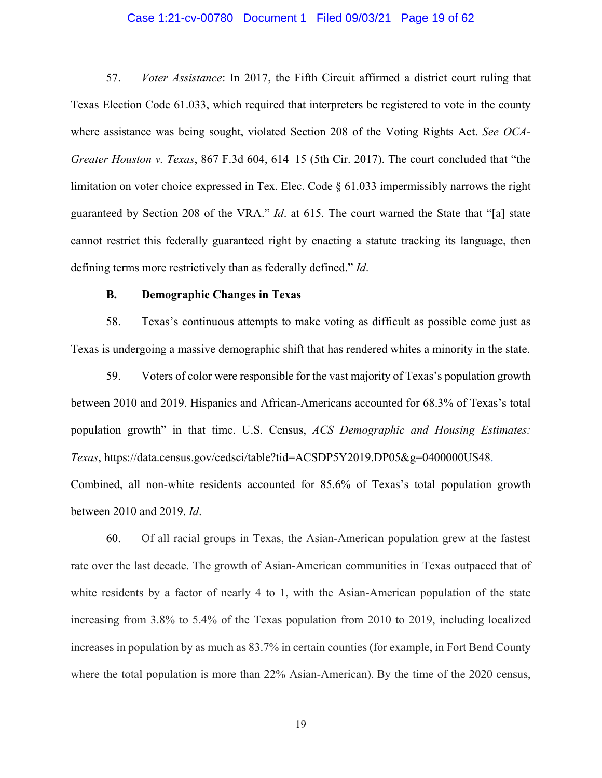#### Case 1:21-cv-00780 Document 1 Filed 09/03/21 Page 19 of 62

57. *Voter Assistance*: In 2017, the Fifth Circuit affirmed a district court ruling that Texas Election Code 61.033, which required that interpreters be registered to vote in the county where assistance was being sought, violated Section 208 of the Voting Rights Act. *See OCA-Greater Houston v. Texas*, 867 F.3d 604, 614–15 (5th Cir. 2017). The court concluded that "the limitation on voter choice expressed in Tex. Elec. Code  $\S 61.033$  impermissibly narrows the right guaranteed by Section 208 of the VRA." *Id*. at 615. The court warned the State that "[a] state cannot restrict this federally guaranteed right by enacting a statute tracking its language, then defining terms more restrictively than as federally defined." *Id*.

#### **B. Demographic Changes in Texas**

58. Texas's continuous attempts to make voting as difficult as possible come just as Texas is undergoing a massive demographic shift that has rendered whites a minority in the state.

59. Voters of color were responsible for the vast majority of Texas's population growth between 2010 and 2019. Hispanics and African-Americans accounted for 68.3% of Texas's total population growth" in that time. U.S. Census, *ACS Demographic and Housing Estimates: Texas*, https://data.census.gov/cedsci/table?tid=ACSDP5Y2019.DP05&g=0400000US48. Combined, all non-white residents accounted for 85.6% of Texas's total population growth between 2010 and 2019. *Id*.

60. Of all racial groups in Texas, the Asian-American population grew at the fastest rate over the last decade. The growth of Asian-American communities in Texas outpaced that of white residents by a factor of nearly 4 to 1, with the Asian-American population of the state increasing from 3.8% to 5.4% of the Texas population from 2010 to 2019, including localized increases in population by as much as 83.7% in certain counties (for example, in Fort Bend County where the total population is more than 22% Asian-American). By the time of the 2020 census,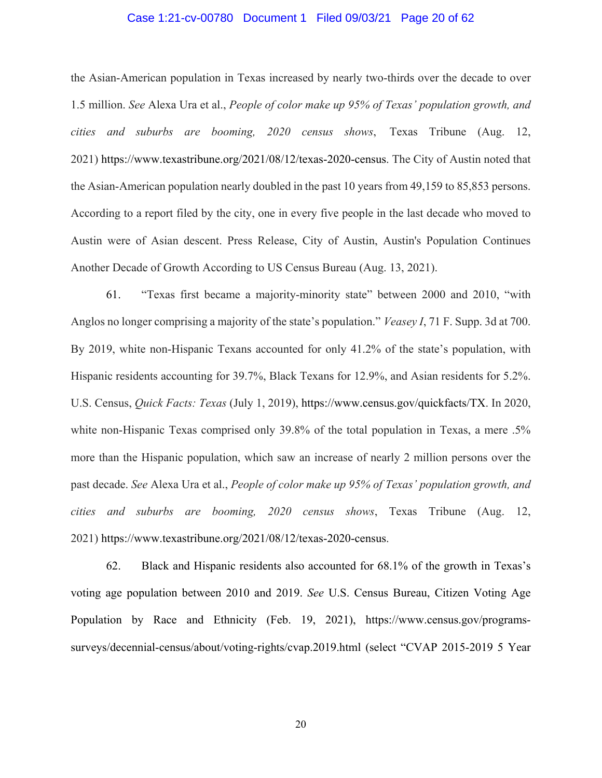### Case 1:21-cv-00780 Document 1 Filed 09/03/21 Page 20 of 62

the Asian-American population in Texas increased by nearly two-thirds over the decade to over 1.5 million. *See* Alexa Ura et al., *People of color make up 95% of Texas' population growth, and cities and suburbs are booming, 2020 census shows*, Texas Tribune (Aug. 12, 2021) https://www.texastribune.org/2021/08/12/texas-2020-census. The City of Austin noted that the Asian-American population nearly doubled in the past 10 years from 49,159 to 85,853 persons. According to a report filed by the city, one in every five people in the last decade who moved to Austin were of Asian descent. Press Release, City of Austin, Austin's Population Continues Another Decade of Growth According to US Census Bureau (Aug. 13, 2021).

61. "Texas first became a majority-minority state" between 2000 and 2010, "with Anglos no longer comprising a majority of the state's population." *Veasey I*, 71 F. Supp. 3d at 700. By 2019, white non-Hispanic Texans accounted for only 41.2% of the state's population, with Hispanic residents accounting for 39.7%, Black Texans for 12.9%, and Asian residents for 5.2%. U.S. Census, *Quick Facts: Texas* (July 1, 2019), https://www.census.gov/quickfacts/TX. In 2020, white non-Hispanic Texas comprised only 39.8% of the total population in Texas, a mere .5% more than the Hispanic population, which saw an increase of nearly 2 million persons over the past decade. *See* Alexa Ura et al., *People of color make up 95% of Texas' population growth, and cities and suburbs are booming, 2020 census shows*, Texas Tribune (Aug. 12, 2021) https://www.texastribune.org/2021/08/12/texas-2020-census.

62. Black and Hispanic residents also accounted for 68.1% of the growth in Texas's voting age population between 2010 and 2019. *See* U.S. Census Bureau, Citizen Voting Age Population by Race and Ethnicity (Feb. 19, 2021), https://www.census.gov/programssurveys/decennial-census/about/voting-rights/cvap.2019.html (select "CVAP 2015-2019 5 Year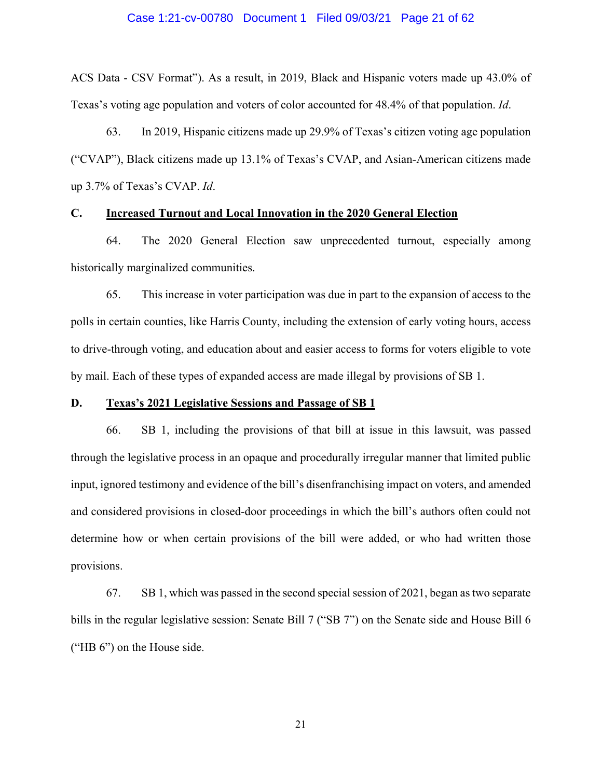#### Case 1:21-cv-00780 Document 1 Filed 09/03/21 Page 21 of 62

ACS Data - CSV Format"). As a result, in 2019, Black and Hispanic voters made up 43.0% of Texas's voting age population and voters of color accounted for 48.4% of that population. *Id*.

63. In 2019, Hispanic citizens made up 29.9% of Texas's citizen voting age population ("CVAP"), Black citizens made up 13.1% of Texas's CVAP, and Asian-American citizens made up 3.7% of Texas's CVAP. *Id*.

#### **C. Increased Turnout and Local Innovation in the 2020 General Election**

64. The 2020 General Election saw unprecedented turnout, especially among historically marginalized communities.

65. This increase in voter participation was due in part to the expansion of access to the polls in certain counties, like Harris County, including the extension of early voting hours, access to drive-through voting, and education about and easier access to forms for voters eligible to vote by mail. Each of these types of expanded access are made illegal by provisions of SB 1.

#### **D. Texas's 2021 Legislative Sessions and Passage of SB 1**

66. SB 1, including the provisions of that bill at issue in this lawsuit, was passed through the legislative process in an opaque and procedurally irregular manner that limited public input, ignored testimony and evidence of the bill's disenfranchising impact on voters, and amended and considered provisions in closed-door proceedings in which the bill's authors often could not determine how or when certain provisions of the bill were added, or who had written those provisions.

67. SB 1, which was passed in the second special session of 2021, began as two separate bills in the regular legislative session: Senate Bill 7 ("SB 7") on the Senate side and House Bill 6 ("HB 6") on the House side.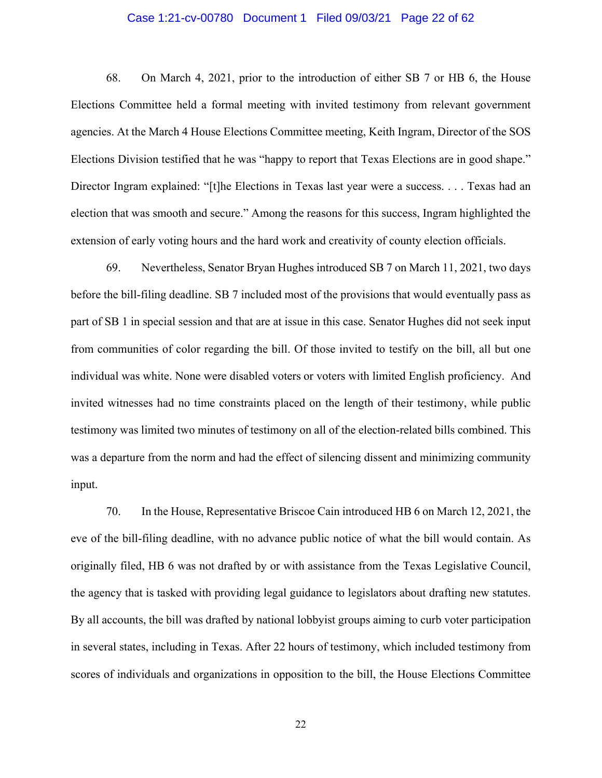#### Case 1:21-cv-00780 Document 1 Filed 09/03/21 Page 22 of 62

68. On March 4, 2021, prior to the introduction of either SB 7 or HB 6, the House Elections Committee held a formal meeting with invited testimony from relevant government agencies. At the March 4 House Elections Committee meeting, Keith Ingram, Director of the SOS Elections Division testified that he was "happy to report that Texas Elections are in good shape." Director Ingram explained: "[t]he Elections in Texas last year were a success. . . . Texas had an election that was smooth and secure." Among the reasons for this success, Ingram highlighted the extension of early voting hours and the hard work and creativity of county election officials.

69. Nevertheless, Senator Bryan Hughes introduced SB 7 on March 11, 2021, two days before the bill-filing deadline. SB 7 included most of the provisions that would eventually pass as part of SB 1 in special session and that are at issue in this case. Senator Hughes did not seek input from communities of color regarding the bill. Of those invited to testify on the bill, all but one individual was white. None were disabled voters or voters with limited English proficiency. And invited witnesses had no time constraints placed on the length of their testimony, while public testimony was limited two minutes of testimony on all of the election-related bills combined. This was a departure from the norm and had the effect of silencing dissent and minimizing community input.

70. In the House, Representative Briscoe Cain introduced HB 6 on March 12, 2021, the eve of the bill-filing deadline, with no advance public notice of what the bill would contain. As originally filed, HB 6 was not drafted by or with assistance from the Texas Legislative Council, the agency that is tasked with providing legal guidance to legislators about drafting new statutes. By all accounts, the bill was drafted by national lobbyist groups aiming to curb voter participation in several states, including in Texas. After 22 hours of testimony, which included testimony from scores of individuals and organizations in opposition to the bill, the House Elections Committee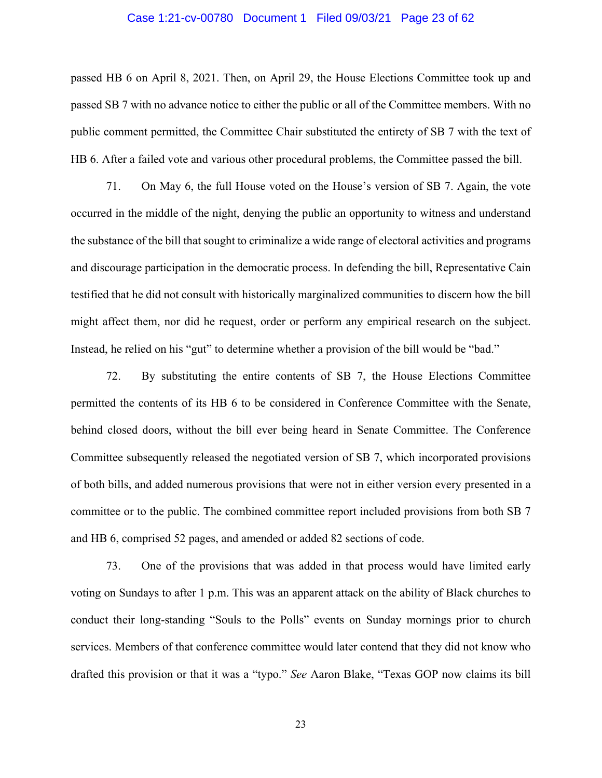#### Case 1:21-cv-00780 Document 1 Filed 09/03/21 Page 23 of 62

passed HB 6 on April 8, 2021. Then, on April 29, the House Elections Committee took up and passed SB 7 with no advance notice to either the public or all of the Committee members. With no public comment permitted, the Committee Chair substituted the entirety of SB 7 with the text of HB 6. After a failed vote and various other procedural problems, the Committee passed the bill.

71. On May 6, the full House voted on the House's version of SB 7. Again, the vote occurred in the middle of the night, denying the public an opportunity to witness and understand the substance of the bill that sought to criminalize a wide range of electoral activities and programs and discourage participation in the democratic process. In defending the bill, Representative Cain testified that he did not consult with historically marginalized communities to discern how the bill might affect them, nor did he request, order or perform any empirical research on the subject. Instead, he relied on his "gut" to determine whether a provision of the bill would be "bad."

72. By substituting the entire contents of SB 7, the House Elections Committee permitted the contents of its HB 6 to be considered in Conference Committee with the Senate, behind closed doors, without the bill ever being heard in Senate Committee. The Conference Committee subsequently released the negotiated version of SB 7, which incorporated provisions of both bills, and added numerous provisions that were not in either version every presented in a committee or to the public. The combined committee report included provisions from both SB 7 and HB 6, comprised 52 pages, and amended or added 82 sections of code.

73. One of the provisions that was added in that process would have limited early voting on Sundays to after 1 p.m. This was an apparent attack on the ability of Black churches to conduct their long-standing "Souls to the Polls" events on Sunday mornings prior to church services. Members of that conference committee would later contend that they did not know who drafted this provision or that it was a "typo." *See* Aaron Blake, "Texas GOP now claims its bill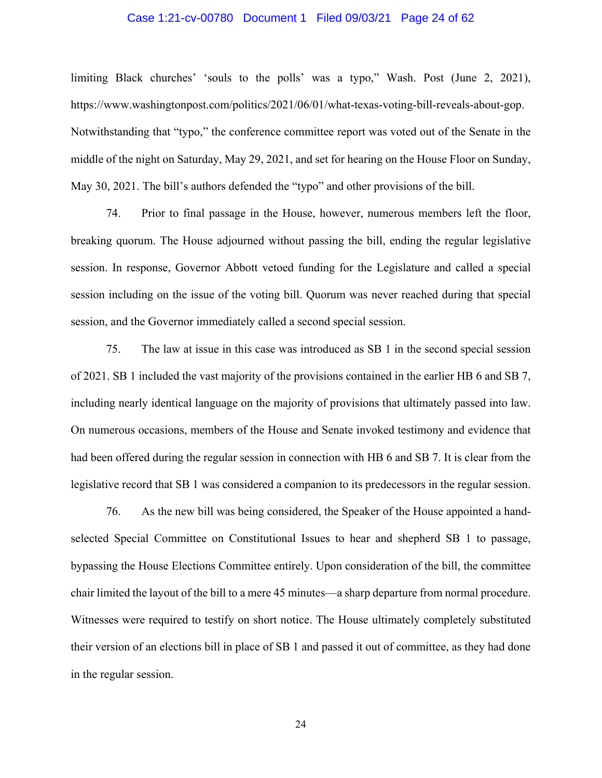#### Case 1:21-cv-00780 Document 1 Filed 09/03/21 Page 24 of 62

limiting Black churches' 'souls to the polls' was a typo," Wash. Post (June 2, 2021), https://www.washingtonpost.com/politics/2021/06/01/what-texas-voting-bill-reveals-about-gop. Notwithstanding that "typo," the conference committee report was voted out of the Senate in the middle of the night on Saturday, May 29, 2021, and set for hearing on the House Floor on Sunday, May 30, 2021. The bill's authors defended the "typo" and other provisions of the bill.

74. Prior to final passage in the House, however, numerous members left the floor, breaking quorum. The House adjourned without passing the bill, ending the regular legislative session. In response, Governor Abbott vetoed funding for the Legislature and called a special session including on the issue of the voting bill. Quorum was never reached during that special session, and the Governor immediately called a second special session.

75. The law at issue in this case was introduced as SB 1 in the second special session of 2021. SB 1 included the vast majority of the provisions contained in the earlier HB 6 and SB 7, including nearly identical language on the majority of provisions that ultimately passed into law. On numerous occasions, members of the House and Senate invoked testimony and evidence that had been offered during the regular session in connection with HB 6 and SB 7. It is clear from the legislative record that SB 1 was considered a companion to its predecessors in the regular session.

76. As the new bill was being considered, the Speaker of the House appointed a handselected Special Committee on Constitutional Issues to hear and shepherd SB 1 to passage, bypassing the House Elections Committee entirely. Upon consideration of the bill, the committee chair limited the layout of the bill to a mere 45 minutes—a sharp departure from normal procedure. Witnesses were required to testify on short notice. The House ultimately completely substituted their version of an elections bill in place of SB 1 and passed it out of committee, as they had done in the regular session.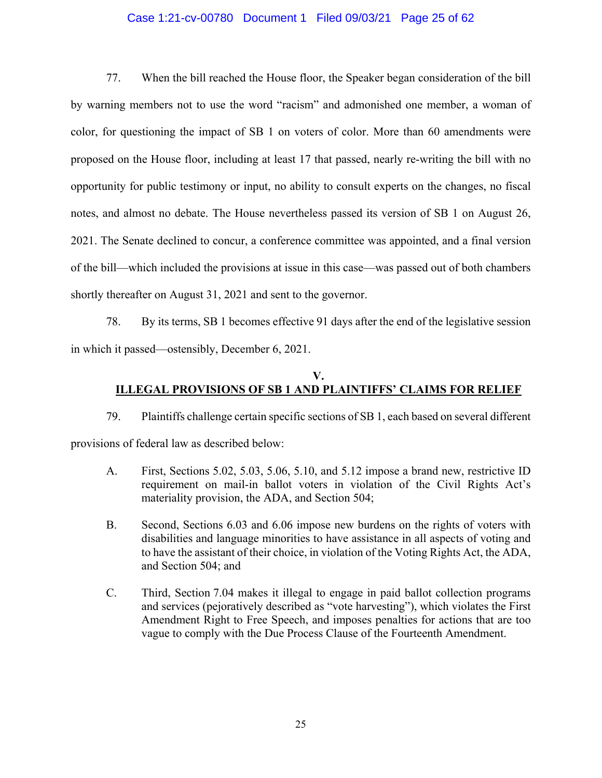### Case 1:21-cv-00780 Document 1 Filed 09/03/21 Page 25 of 62

77. When the bill reached the House floor, the Speaker began consideration of the bill by warning members not to use the word "racism" and admonished one member, a woman of color, for questioning the impact of SB 1 on voters of color. More than 60 amendments were proposed on the House floor, including at least 17 that passed, nearly re-writing the bill with no opportunity for public testimony or input, no ability to consult experts on the changes, no fiscal notes, and almost no debate. The House nevertheless passed its version of SB 1 on August 26, 2021. The Senate declined to concur, a conference committee was appointed, and a final version of the bill—which included the provisions at issue in this case—was passed out of both chambers shortly thereafter on August 31, 2021 and sent to the governor.

78. By its terms, SB 1 becomes effective 91 days after the end of the legislative session in which it passed—ostensibly, December 6, 2021.

## **V. ILLEGAL PROVISIONS OF SB 1 AND PLAINTIFFS' CLAIMS FOR RELIEF**

79. Plaintiffs challenge certain specific sections of SB 1, each based on several different provisions of federal law as described below:

- A. First, Sections 5.02, 5.03, 5.06, 5.10, and 5.12 impose a brand new, restrictive ID requirement on mail-in ballot voters in violation of the Civil Rights Act's materiality provision, the ADA, and Section 504;
- B. Second, Sections 6.03 and 6.06 impose new burdens on the rights of voters with disabilities and language minorities to have assistance in all aspects of voting and to have the assistant of their choice, in violation of the Voting Rights Act, the ADA, and Section 504; and
- C. Third, Section 7.04 makes it illegal to engage in paid ballot collection programs and services (pejoratively described as "vote harvesting"), which violates the First Amendment Right to Free Speech, and imposes penalties for actions that are too vague to comply with the Due Process Clause of the Fourteenth Amendment.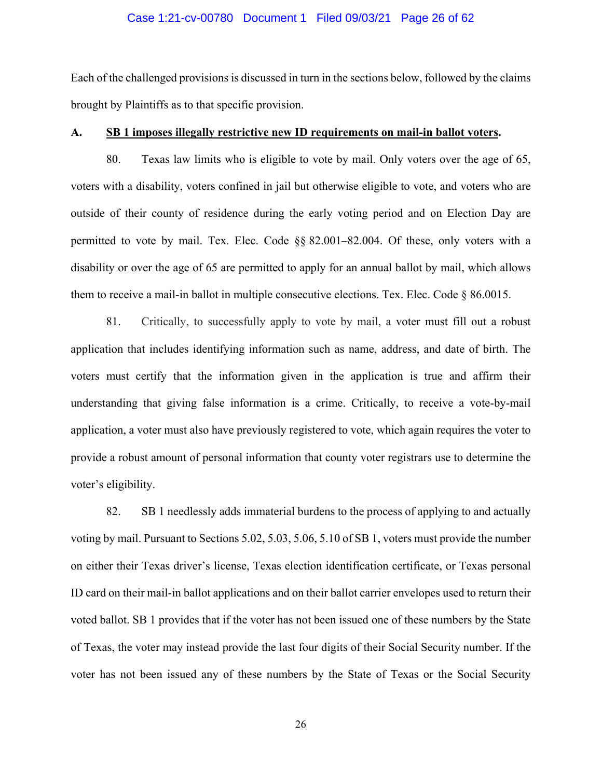#### Case 1:21-cv-00780 Document 1 Filed 09/03/21 Page 26 of 62

Each of the challenged provisions is discussed in turn in the sections below, followed by the claims brought by Plaintiffs as to that specific provision.

## **A. SB 1 imposes illegally restrictive new ID requirements on mail-in ballot voters.**

80. Texas law limits who is eligible to vote by mail. Only voters over the age of 65, voters with a disability, voters confined in jail but otherwise eligible to vote, and voters who are outside of their county of residence during the early voting period and on Election Day are permitted to vote by mail. Tex. Elec. Code §§ 82.001–82.004. Of these, only voters with a disability or over the age of 65 are permitted to apply for an annual ballot by mail, which allows them to receive a mail-in ballot in multiple consecutive elections. Tex. Elec. Code § 86.0015.

81. Critically, to successfully apply to vote by mail, a voter must fill out a robust application that includes identifying information such as name, address, and date of birth. The voters must certify that the information given in the application is true and affirm their understanding that giving false information is a crime. Critically, to receive a vote-by-mail application, a voter must also have previously registered to vote, which again requires the voter to provide a robust amount of personal information that county voter registrars use to determine the voter's eligibility.

82. SB 1 needlessly adds immaterial burdens to the process of applying to and actually voting by mail. Pursuant to Sections 5.02, 5.03, 5.06, 5.10 of SB 1, voters must provide the number on either their Texas driver's license, Texas election identification certificate, or Texas personal ID card on their mail-in ballot applications and on their ballot carrier envelopes used to return their voted ballot. SB 1 provides that if the voter has not been issued one of these numbers by the State of Texas, the voter may instead provide the last four digits of their Social Security number. If the voter has not been issued any of these numbers by the State of Texas or the Social Security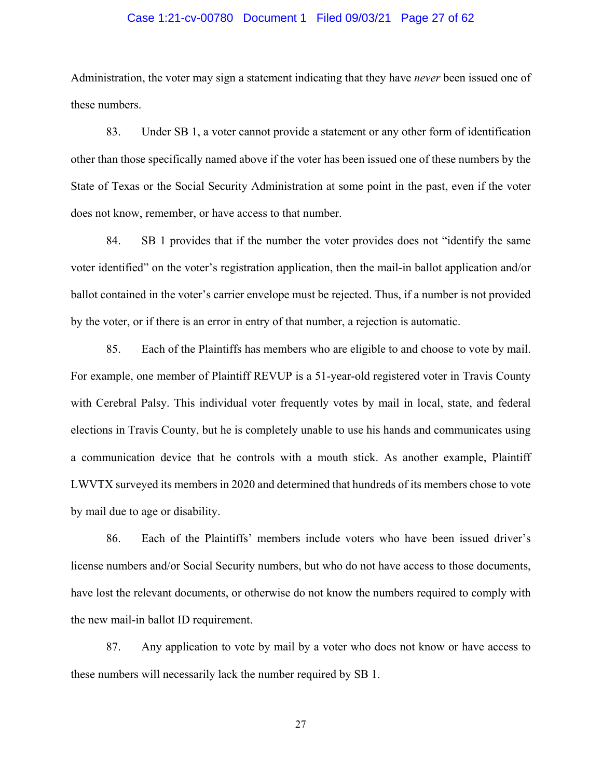#### Case 1:21-cv-00780 Document 1 Filed 09/03/21 Page 27 of 62

Administration, the voter may sign a statement indicating that they have *never* been issued one of these numbers.

83. Under SB 1, a voter cannot provide a statement or any other form of identification other than those specifically named above if the voter has been issued one of these numbers by the State of Texas or the Social Security Administration at some point in the past, even if the voter does not know, remember, or have access to that number.

84. SB 1 provides that if the number the voter provides does not "identify the same voter identified" on the voter's registration application, then the mail-in ballot application and/or ballot contained in the voter's carrier envelope must be rejected. Thus, if a number is not provided by the voter, or if there is an error in entry of that number, a rejection is automatic.

85. Each of the Plaintiffs has members who are eligible to and choose to vote by mail. For example, one member of Plaintiff REVUP is a 51-year-old registered voter in Travis County with Cerebral Palsy. This individual voter frequently votes by mail in local, state, and federal elections in Travis County, but he is completely unable to use his hands and communicates using a communication device that he controls with a mouth stick. As another example, Plaintiff LWVTX surveyed its members in 2020 and determined that hundreds of its members chose to vote by mail due to age or disability.

86. Each of the Plaintiffs' members include voters who have been issued driver's license numbers and/or Social Security numbers, but who do not have access to those documents, have lost the relevant documents, or otherwise do not know the numbers required to comply with the new mail-in ballot ID requirement.

87. Any application to vote by mail by a voter who does not know or have access to these numbers will necessarily lack the number required by SB 1.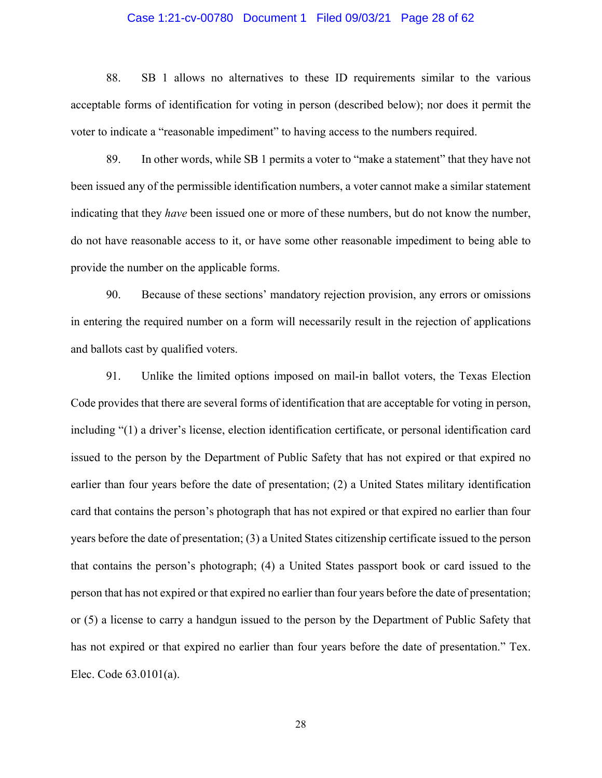### Case 1:21-cv-00780 Document 1 Filed 09/03/21 Page 28 of 62

88. SB 1 allows no alternatives to these ID requirements similar to the various acceptable forms of identification for voting in person (described below); nor does it permit the voter to indicate a "reasonable impediment" to having access to the numbers required.

89. In other words, while SB 1 permits a voter to "make a statement" that they have not been issued any of the permissible identification numbers, a voter cannot make a similar statement indicating that they *have* been issued one or more of these numbers, but do not know the number, do not have reasonable access to it, or have some other reasonable impediment to being able to provide the number on the applicable forms.

90. Because of these sections' mandatory rejection provision, any errors or omissions in entering the required number on a form will necessarily result in the rejection of applications and ballots cast by qualified voters.

91. Unlike the limited options imposed on mail-in ballot voters, the Texas Election Code provides that there are several forms of identification that are acceptable for voting in person, including "(1) a driver's license, election identification certificate, or personal identification card issued to the person by the Department of Public Safety that has not expired or that expired no earlier than four years before the date of presentation; (2) a United States military identification card that contains the person's photograph that has not expired or that expired no earlier than four years before the date of presentation; (3) a United States citizenship certificate issued to the person that contains the person's photograph; (4) a United States passport book or card issued to the person that has not expired or that expired no earlier than four years before the date of presentation; or (5) a license to carry a handgun issued to the person by the Department of Public Safety that has not expired or that expired no earlier than four years before the date of presentation." Tex. Elec. Code 63.0101(a).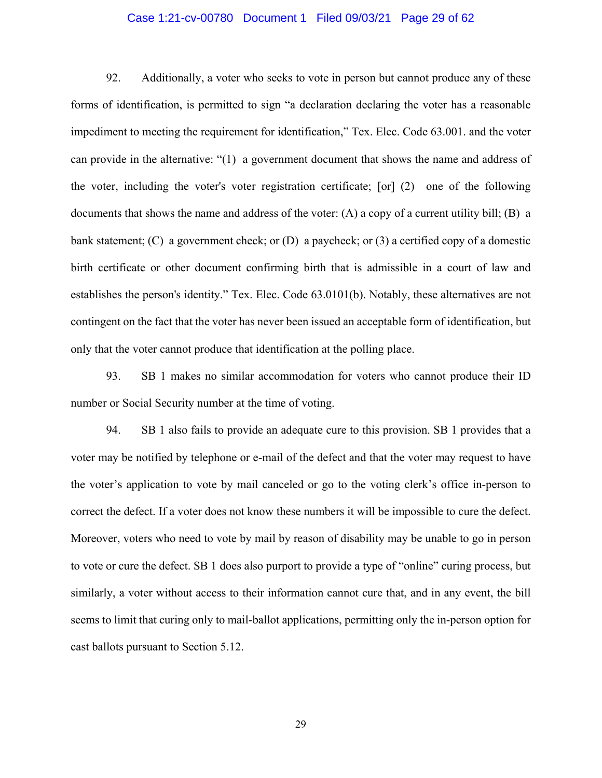### Case 1:21-cv-00780 Document 1 Filed 09/03/21 Page 29 of 62

92. Additionally, a voter who seeks to vote in person but cannot produce any of these forms of identification, is permitted to sign "a declaration declaring the voter has a reasonable impediment to meeting the requirement for identification," Tex. Elec. Code 63.001. and the voter can provide in the alternative: "(1) a government document that shows the name and address of the voter, including the voter's voter registration certificate; [or] (2) one of the following documents that shows the name and address of the voter:  $(A)$  a copy of a current utility bill;  $(B)$  a bank statement; (C) a government check; or (D) a paycheck; or (3) a certified copy of a domestic birth certificate or other document confirming birth that is admissible in a court of law and establishes the person's identity." Tex. Elec. Code 63.0101(b). Notably, these alternatives are not contingent on the fact that the voter has never been issued an acceptable form of identification, but only that the voter cannot produce that identification at the polling place.

93. SB 1 makes no similar accommodation for voters who cannot produce their ID number or Social Security number at the time of voting.

94. SB 1 also fails to provide an adequate cure to this provision. SB 1 provides that a voter may be notified by telephone or e-mail of the defect and that the voter may request to have the voter's application to vote by mail canceled or go to the voting clerk's office in-person to correct the defect. If a voter does not know these numbers it will be impossible to cure the defect. Moreover, voters who need to vote by mail by reason of disability may be unable to go in person to vote or cure the defect. SB 1 does also purport to provide a type of "online" curing process, but similarly, a voter without access to their information cannot cure that, and in any event, the bill seems to limit that curing only to mail-ballot applications, permitting only the in-person option for cast ballots pursuant to Section 5.12.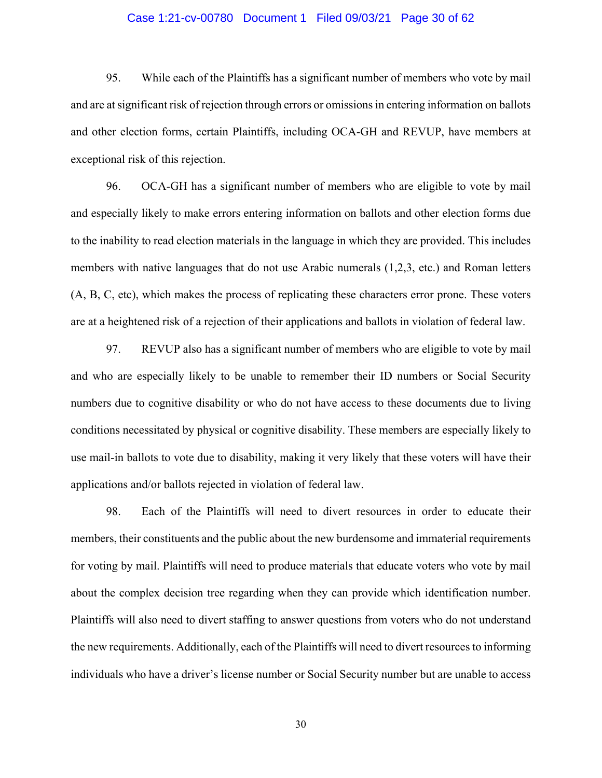### Case 1:21-cv-00780 Document 1 Filed 09/03/21 Page 30 of 62

95. While each of the Plaintiffs has a significant number of members who vote by mail and are at significant risk of rejection through errors or omissions in entering information on ballots and other election forms, certain Plaintiffs, including OCA-GH and REVUP, have members at exceptional risk of this rejection.

96. OCA-GH has a significant number of members who are eligible to vote by mail and especially likely to make errors entering information on ballots and other election forms due to the inability to read election materials in the language in which they are provided. This includes members with native languages that do not use Arabic numerals (1,2,3, etc.) and Roman letters (A, B, C, etc), which makes the process of replicating these characters error prone. These voters are at a heightened risk of a rejection of their applications and ballots in violation of federal law.

97. REVUP also has a significant number of members who are eligible to vote by mail and who are especially likely to be unable to remember their ID numbers or Social Security numbers due to cognitive disability or who do not have access to these documents due to living conditions necessitated by physical or cognitive disability. These members are especially likely to use mail-in ballots to vote due to disability, making it very likely that these voters will have their applications and/or ballots rejected in violation of federal law.

98. Each of the Plaintiffs will need to divert resources in order to educate their members, their constituents and the public about the new burdensome and immaterial requirements for voting by mail. Plaintiffs will need to produce materials that educate voters who vote by mail about the complex decision tree regarding when they can provide which identification number. Plaintiffs will also need to divert staffing to answer questions from voters who do not understand the new requirements. Additionally, each of the Plaintiffs will need to divert resources to informing individuals who have a driver's license number or Social Security number but are unable to access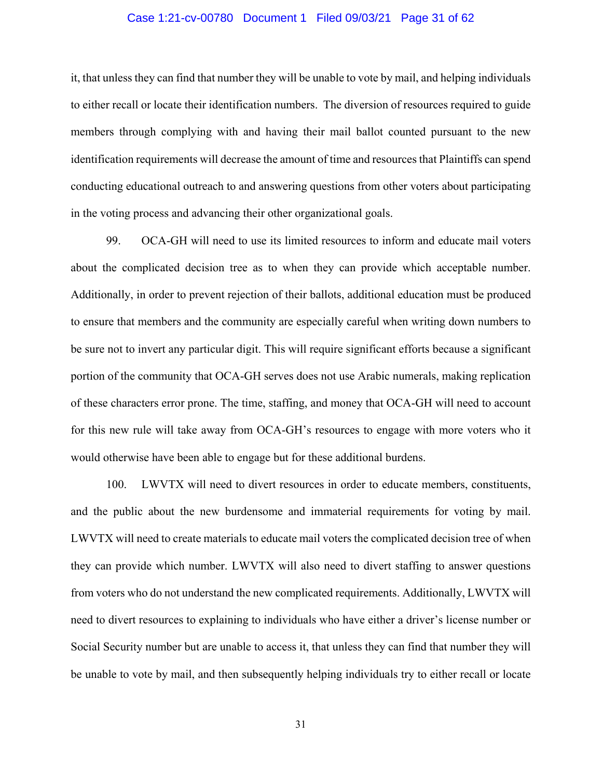#### Case 1:21-cv-00780 Document 1 Filed 09/03/21 Page 31 of 62

it, that unless they can find that number they will be unable to vote by mail, and helping individuals to either recall or locate their identification numbers. The diversion of resources required to guide members through complying with and having their mail ballot counted pursuant to the new identification requirements will decrease the amount of time and resources that Plaintiffs can spend conducting educational outreach to and answering questions from other voters about participating in the voting process and advancing their other organizational goals.

99. OCA-GH will need to use its limited resources to inform and educate mail voters about the complicated decision tree as to when they can provide which acceptable number. Additionally, in order to prevent rejection of their ballots, additional education must be produced to ensure that members and the community are especially careful when writing down numbers to be sure not to invert any particular digit. This will require significant efforts because a significant portion of the community that OCA-GH serves does not use Arabic numerals, making replication of these characters error prone. The time, staffing, and money that OCA-GH will need to account for this new rule will take away from OCA-GH's resources to engage with more voters who it would otherwise have been able to engage but for these additional burdens.

100. LWVTX will need to divert resources in order to educate members, constituents, and the public about the new burdensome and immaterial requirements for voting by mail. LWVTX will need to create materials to educate mail voters the complicated decision tree of when they can provide which number. LWVTX will also need to divert staffing to answer questions from voters who do not understand the new complicated requirements. Additionally, LWVTX will need to divert resources to explaining to individuals who have either a driver's license number or Social Security number but are unable to access it, that unless they can find that number they will be unable to vote by mail, and then subsequently helping individuals try to either recall or locate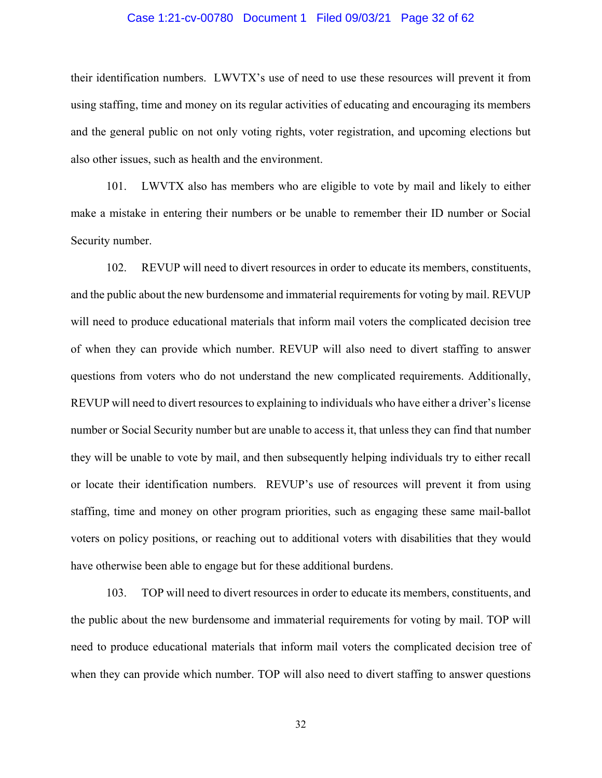#### Case 1:21-cv-00780 Document 1 Filed 09/03/21 Page 32 of 62

their identification numbers. LWVTX's use of need to use these resources will prevent it from using staffing, time and money on its regular activities of educating and encouraging its members and the general public on not only voting rights, voter registration, and upcoming elections but also other issues, such as health and the environment.

101. LWVTX also has members who are eligible to vote by mail and likely to either make a mistake in entering their numbers or be unable to remember their ID number or Social Security number.

102. REVUP will need to divert resources in order to educate its members, constituents, and the public about the new burdensome and immaterial requirements for voting by mail. REVUP will need to produce educational materials that inform mail voters the complicated decision tree of when they can provide which number. REVUP will also need to divert staffing to answer questions from voters who do not understand the new complicated requirements. Additionally, REVUP will need to divert resources to explaining to individuals who have either a driver's license number or Social Security number but are unable to access it, that unless they can find that number they will be unable to vote by mail, and then subsequently helping individuals try to either recall or locate their identification numbers. REVUP's use of resources will prevent it from using staffing, time and money on other program priorities, such as engaging these same mail-ballot voters on policy positions, or reaching out to additional voters with disabilities that they would have otherwise been able to engage but for these additional burdens.

103. TOP will need to divert resources in order to educate its members, constituents, and the public about the new burdensome and immaterial requirements for voting by mail. TOP will need to produce educational materials that inform mail voters the complicated decision tree of when they can provide which number. TOP will also need to divert staffing to answer questions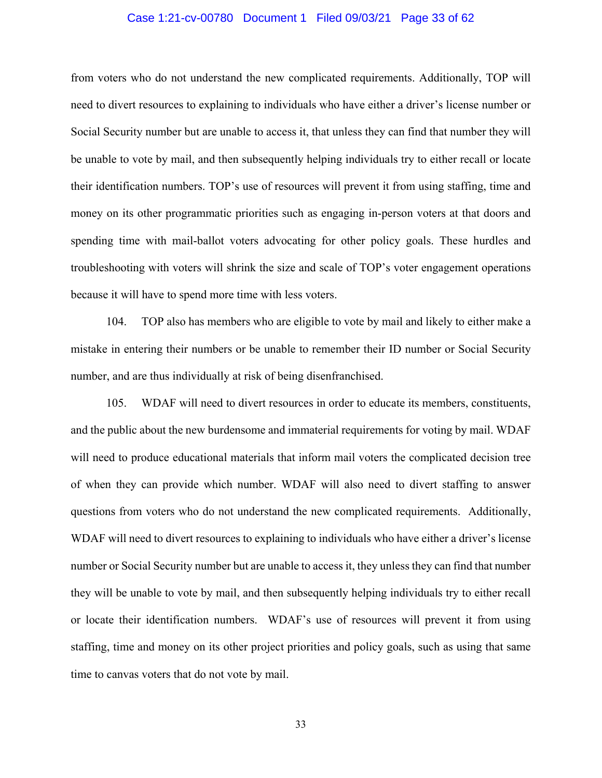#### Case 1:21-cv-00780 Document 1 Filed 09/03/21 Page 33 of 62

from voters who do not understand the new complicated requirements. Additionally, TOP will need to divert resources to explaining to individuals who have either a driver's license number or Social Security number but are unable to access it, that unless they can find that number they will be unable to vote by mail, and then subsequently helping individuals try to either recall or locate their identification numbers. TOP's use of resources will prevent it from using staffing, time and money on its other programmatic priorities such as engaging in-person voters at that doors and spending time with mail-ballot voters advocating for other policy goals. These hurdles and troubleshooting with voters will shrink the size and scale of TOP's voter engagement operations because it will have to spend more time with less voters.

104. TOP also has members who are eligible to vote by mail and likely to either make a mistake in entering their numbers or be unable to remember their ID number or Social Security number, and are thus individually at risk of being disenfranchised.

105. WDAF will need to divert resources in order to educate its members, constituents, and the public about the new burdensome and immaterial requirements for voting by mail. WDAF will need to produce educational materials that inform mail voters the complicated decision tree of when they can provide which number. WDAF will also need to divert staffing to answer questions from voters who do not understand the new complicated requirements. Additionally, WDAF will need to divert resources to explaining to individuals who have either a driver's license number or Social Security number but are unable to access it, they unless they can find that number they will be unable to vote by mail, and then subsequently helping individuals try to either recall or locate their identification numbers. WDAF's use of resources will prevent it from using staffing, time and money on its other project priorities and policy goals, such as using that same time to canvas voters that do not vote by mail.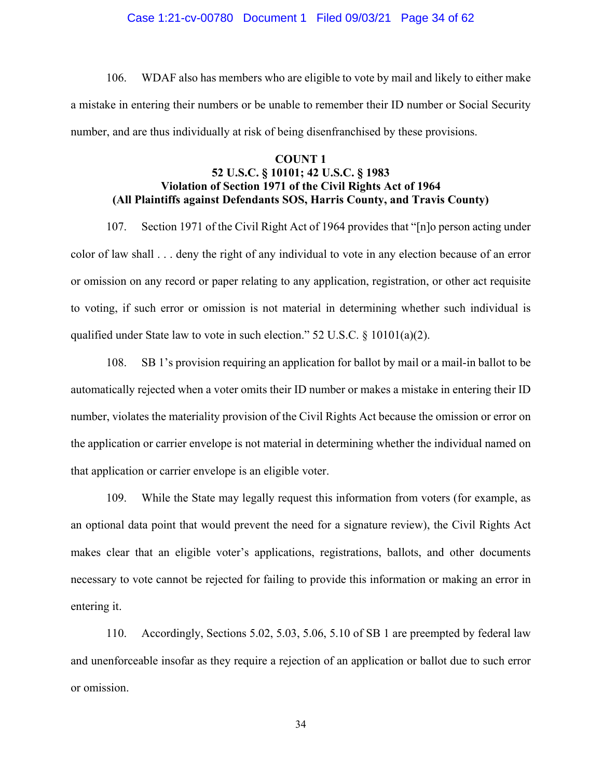#### Case 1:21-cv-00780 Document 1 Filed 09/03/21 Page 34 of 62

106. WDAF also has members who are eligible to vote by mail and likely to either make a mistake in entering their numbers or be unable to remember their ID number or Social Security number, and are thus individually at risk of being disenfranchised by these provisions.

## **COUNT 1 52 U.S.C. § 10101; 42 U.S.C. § 1983 Violation of Section 1971 of the Civil Rights Act of 1964 (All Plaintiffs against Defendants SOS, Harris County, and Travis County)**

107. Section 1971 of the Civil Right Act of 1964 provides that "[n]o person acting under color of law shall . . . deny the right of any individual to vote in any election because of an error or omission on any record or paper relating to any application, registration, or other act requisite to voting, if such error or omission is not material in determining whether such individual is qualified under State law to vote in such election." 52 U.S.C. § 10101(a)(2).

108. SB 1's provision requiring an application for ballot by mail or a mail-in ballot to be automatically rejected when a voter omits their ID number or makes a mistake in entering their ID number, violates the materiality provision of the Civil Rights Act because the omission or error on the application or carrier envelope is not material in determining whether the individual named on that application or carrier envelope is an eligible voter.

109. While the State may legally request this information from voters (for example, as an optional data point that would prevent the need for a signature review), the Civil Rights Act makes clear that an eligible voter's applications, registrations, ballots, and other documents necessary to vote cannot be rejected for failing to provide this information or making an error in entering it.

110. Accordingly, Sections 5.02, 5.03, 5.06, 5.10 of SB 1 are preempted by federal law and unenforceable insofar as they require a rejection of an application or ballot due to such error or omission.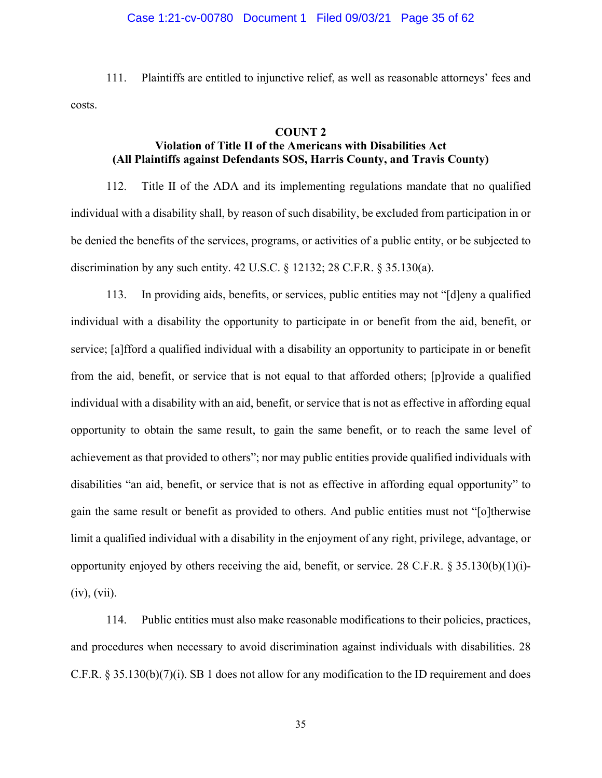#### Case 1:21-cv-00780 Document 1 Filed 09/03/21 Page 35 of 62

111. Plaintiffs are entitled to injunctive relief, as well as reasonable attorneys' fees and costs.

## **COUNT 2**

# **Violation of Title II of the Americans with Disabilities Act (All Plaintiffs against Defendants SOS, Harris County, and Travis County)**

112. Title II of the ADA and its implementing regulations mandate that no qualified individual with a disability shall, by reason of such disability, be excluded from participation in or be denied the benefits of the services, programs, or activities of a public entity, or be subjected to discrimination by any such entity. 42 U.S.C. § 12132; 28 C.F.R. § 35.130(a).

113. In providing aids, benefits, or services, public entities may not "[d]eny a qualified individual with a disability the opportunity to participate in or benefit from the aid, benefit, or service; [a]fford a qualified individual with a disability an opportunity to participate in or benefit from the aid, benefit, or service that is not equal to that afforded others; [p]rovide a qualified individual with a disability with an aid, benefit, or service that is not as effective in affording equal opportunity to obtain the same result, to gain the same benefit, or to reach the same level of achievement as that provided to others"; nor may public entities provide qualified individuals with disabilities "an aid, benefit, or service that is not as effective in affording equal opportunity" to gain the same result or benefit as provided to others. And public entities must not "[o]therwise limit a qualified individual with a disability in the enjoyment of any right, privilege, advantage, or opportunity enjoyed by others receiving the aid, benefit, or service. 28 C.F.R.  $\S 35.130(b)(1)(i)$ - $(iv)$ ,  $(vii)$ .

114. Public entities must also make reasonable modifications to their policies, practices, and procedures when necessary to avoid discrimination against individuals with disabilities. 28 C.F.R. § 35.130(b)(7)(i). SB 1 does not allow for any modification to the ID requirement and does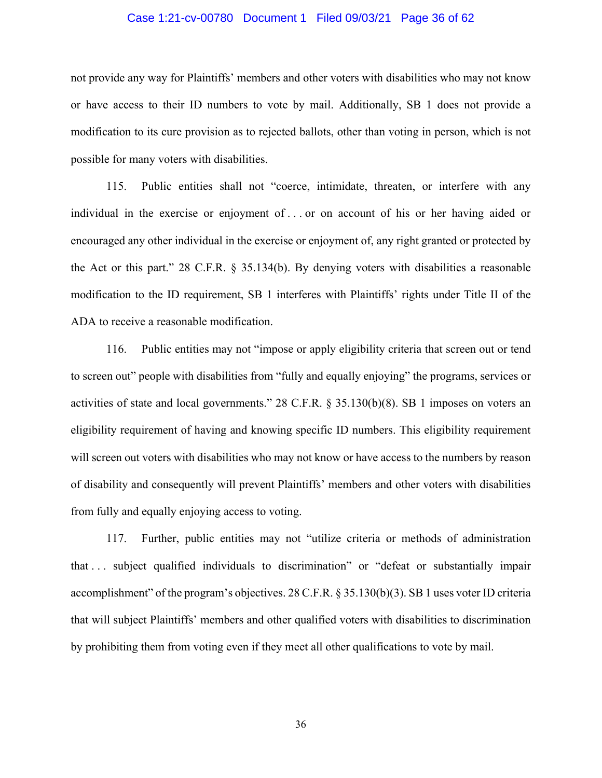#### Case 1:21-cv-00780 Document 1 Filed 09/03/21 Page 36 of 62

not provide any way for Plaintiffs' members and other voters with disabilities who may not know or have access to their ID numbers to vote by mail. Additionally, SB 1 does not provide a modification to its cure provision as to rejected ballots, other than voting in person, which is not possible for many voters with disabilities.

115. Public entities shall not "coerce, intimidate, threaten, or interfere with any individual in the exercise or enjoyment of . . . or on account of his or her having aided or encouraged any other individual in the exercise or enjoyment of, any right granted or protected by the Act or this part." 28 C.F.R. § 35.134(b). By denying voters with disabilities a reasonable modification to the ID requirement, SB 1 interferes with Plaintiffs' rights under Title II of the ADA to receive a reasonable modification.

116. Public entities may not "impose or apply eligibility criteria that screen out or tend to screen out" people with disabilities from "fully and equally enjoying" the programs, services or activities of state and local governments." 28 C.F.R. § 35.130(b)(8). SB 1 imposes on voters an eligibility requirement of having and knowing specific ID numbers. This eligibility requirement will screen out voters with disabilities who may not know or have access to the numbers by reason of disability and consequently will prevent Plaintiffs' members and other voters with disabilities from fully and equally enjoying access to voting.

117. Further, public entities may not "utilize criteria or methods of administration that . . . subject qualified individuals to discrimination" or "defeat or substantially impair accomplishment" of the program's objectives. 28 C.F.R. § 35.130(b)(3). SB 1 uses voter ID criteria that will subject Plaintiffs' members and other qualified voters with disabilities to discrimination by prohibiting them from voting even if they meet all other qualifications to vote by mail.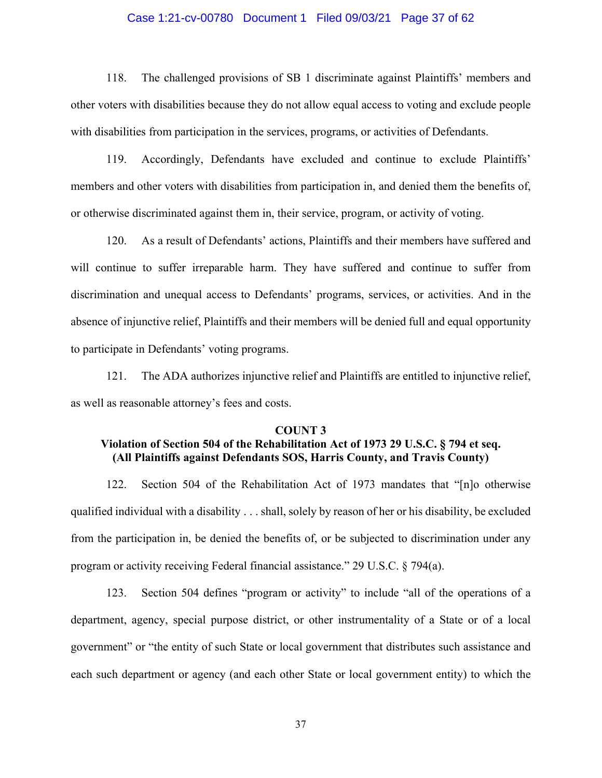#### Case 1:21-cv-00780 Document 1 Filed 09/03/21 Page 37 of 62

118. The challenged provisions of SB 1 discriminate against Plaintiffs' members and other voters with disabilities because they do not allow equal access to voting and exclude people with disabilities from participation in the services, programs, or activities of Defendants.

119. Accordingly, Defendants have excluded and continue to exclude Plaintiffs' members and other voters with disabilities from participation in, and denied them the benefits of, or otherwise discriminated against them in, their service, program, or activity of voting.

120. As a result of Defendants' actions, Plaintiffs and their members have suffered and will continue to suffer irreparable harm. They have suffered and continue to suffer from discrimination and unequal access to Defendants' programs, services, or activities. And in the absence of injunctive relief, Plaintiffs and their members will be denied full and equal opportunity to participate in Defendants' voting programs.

121. The ADA authorizes injunctive relief and Plaintiffs are entitled to injunctive relief, as well as reasonable attorney's fees and costs.

#### **COUNT 3**

# **Violation of Section 504 of the Rehabilitation Act of 1973 29 U.S.C. § 794 et seq. (All Plaintiffs against Defendants SOS, Harris County, and Travis County)**

122. Section 504 of the Rehabilitation Act of 1973 mandates that "[n]o otherwise qualified individual with a disability . . . shall, solely by reason of her or his disability, be excluded from the participation in, be denied the benefits of, or be subjected to discrimination under any program or activity receiving Federal financial assistance." 29 U.S.C. § 794(a).

123. Section 504 defines "program or activity" to include "all of the operations of a department, agency, special purpose district, or other instrumentality of a State or of a local government" or "the entity of such State or local government that distributes such assistance and each such department or agency (and each other State or local government entity) to which the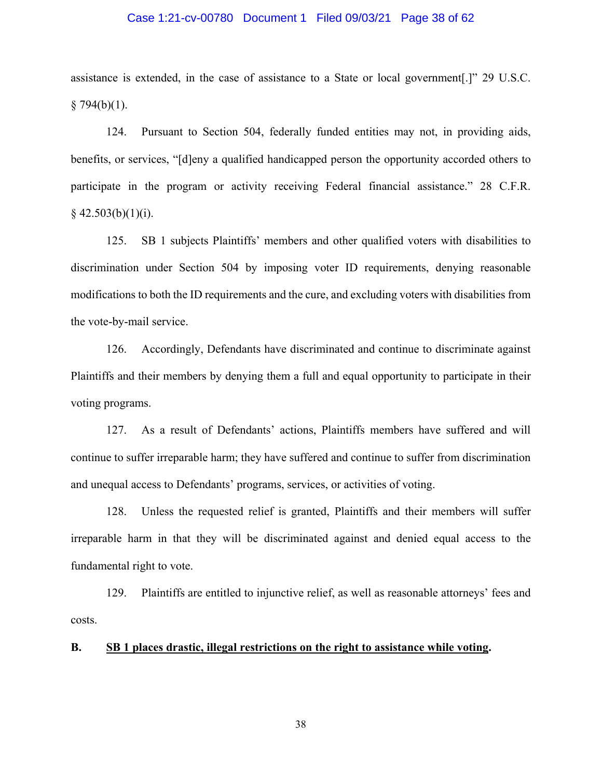#### Case 1:21-cv-00780 Document 1 Filed 09/03/21 Page 38 of 62

assistance is extended, in the case of assistance to a State or local government[.]" 29 U.S.C.  $§ 794(b)(1).$ 

124. Pursuant to Section 504, federally funded entities may not, in providing aids, benefits, or services, "[d]eny a qualified handicapped person the opportunity accorded others to participate in the program or activity receiving Federal financial assistance." 28 C.F.R.  $§$  42.503(b)(1)(i).

125. SB 1 subjects Plaintiffs' members and other qualified voters with disabilities to discrimination under Section 504 by imposing voter ID requirements, denying reasonable modifications to both the ID requirements and the cure, and excluding voters with disabilities from the vote-by-mail service.

126. Accordingly, Defendants have discriminated and continue to discriminate against Plaintiffs and their members by denying them a full and equal opportunity to participate in their voting programs.

127. As a result of Defendants' actions, Plaintiffs members have suffered and will continue to suffer irreparable harm; they have suffered and continue to suffer from discrimination and unequal access to Defendants' programs, services, or activities of voting.

128. Unless the requested relief is granted, Plaintiffs and their members will suffer irreparable harm in that they will be discriminated against and denied equal access to the fundamental right to vote.

129. Plaintiffs are entitled to injunctive relief, as well as reasonable attorneys' fees and costs.

## **B. SB 1 places drastic, illegal restrictions on the right to assistance while voting.**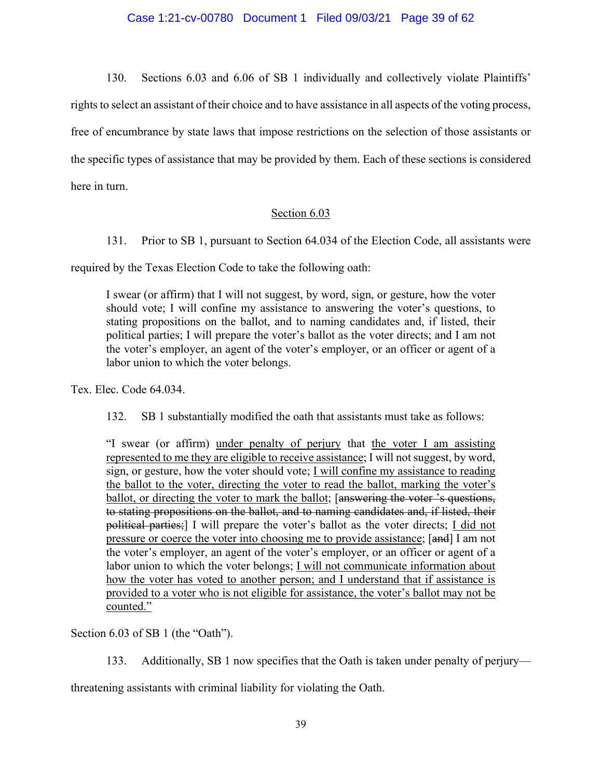130. Sections 6.03 and 6.06 of SB 1 individually and collectively violate Plaintiffs' rights to select an assistant of their choice and to have assistance in all aspects of the voting process, free of encumbrance by state laws that impose restrictions on the selection of those assistants or the specific types of assistance that may be provided by them. Each of these sections is considered here in turn.

## Section 6.03

131. Prior to SB 1, pursuant to Section 64.034 of the Election Code, all assistants were

required by the Texas Election Code to take the following oath:

I swear (or affirm) that I will not suggest, by word, sign, or gesture, how the voter should vote; I will confine my assistance to answering the voter's questions, to stating propositions on the ballot, and to naming candidates and, if listed, their political parties; I will prepare the voter's ballot as the voter directs; and I am not the voter's employer, an agent of the voter's employer, or an officer or agent of a labor union to which the voter belongs.

Tex. Elec. Code 64.034.

132. SB 1 substantially modified the oath that assistants must take as follows:

"I swear (or affirm) under penalty of perjury that the voter I am assisting represented to me they are eligible to receive assistance; I will not suggest, by word, sign, or gesture, how the voter should vote; I will confine my assistance to reading the ballot to the voter, directing the voter to read the ballot, marking the voter's ballot, or directing the voter to mark the ballot; [answering the voter 's questions, to stating propositions on the ballot, and to naming candidates and, if listed, their political parties;] I will prepare the voter's ballot as the voter directs; I did not pressure or coerce the voter into choosing me to provide assistance; [and] I am not the voter's employer, an agent of the voter's employer, or an officer or agent of a labor union to which the voter belongs; I will not communicate information about how the voter has voted to another person; and I understand that if assistance is provided to a voter who is not eligible for assistance, the voter's ballot may not be counted."

Section 6.03 of SB 1 (the "Oath").

133. Additionally, SB 1 now specifies that the Oath is taken under penalty of perjury—

threatening assistants with criminal liability for violating the Oath.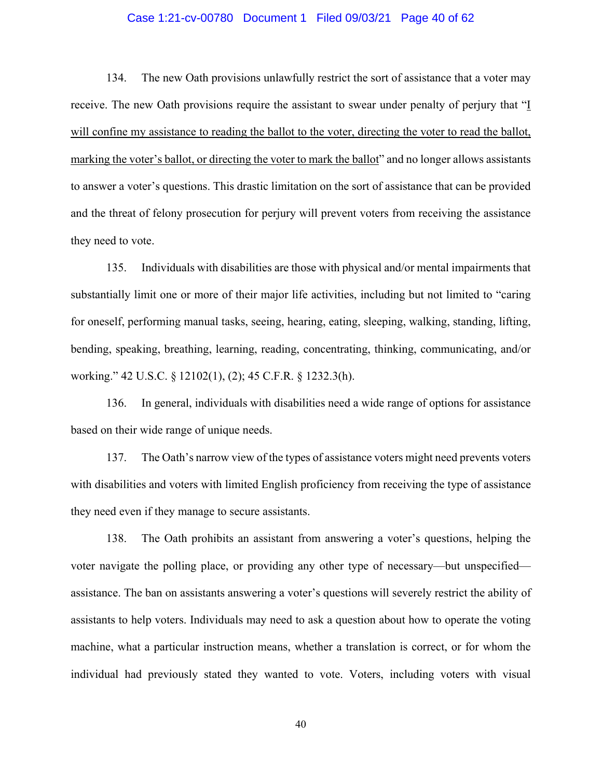#### Case 1:21-cv-00780 Document 1 Filed 09/03/21 Page 40 of 62

134. The new Oath provisions unlawfully restrict the sort of assistance that a voter may receive. The new Oath provisions require the assistant to swear under penalty of perjury that "I will confine my assistance to reading the ballot to the voter, directing the voter to read the ballot, marking the voter's ballot, or directing the voter to mark the ballot" and no longer allows assistants to answer a voter's questions. This drastic limitation on the sort of assistance that can be provided and the threat of felony prosecution for perjury will prevent voters from receiving the assistance they need to vote.

135. Individuals with disabilities are those with physical and/or mental impairments that substantially limit one or more of their major life activities, including but not limited to "caring for oneself, performing manual tasks, seeing, hearing, eating, sleeping, walking, standing, lifting, bending, speaking, breathing, learning, reading, concentrating, thinking, communicating, and/or working." 42 U.S.C. § 12102(1), (2); 45 C.F.R. § 1232.3(h).

136. In general, individuals with disabilities need a wide range of options for assistance based on their wide range of unique needs.

137. The Oath's narrow view of the types of assistance voters might need prevents voters with disabilities and voters with limited English proficiency from receiving the type of assistance they need even if they manage to secure assistants.

138. The Oath prohibits an assistant from answering a voter's questions, helping the voter navigate the polling place, or providing any other type of necessary—but unspecified assistance. The ban on assistants answering a voter's questions will severely restrict the ability of assistants to help voters. Individuals may need to ask a question about how to operate the voting machine, what a particular instruction means, whether a translation is correct, or for whom the individual had previously stated they wanted to vote. Voters, including voters with visual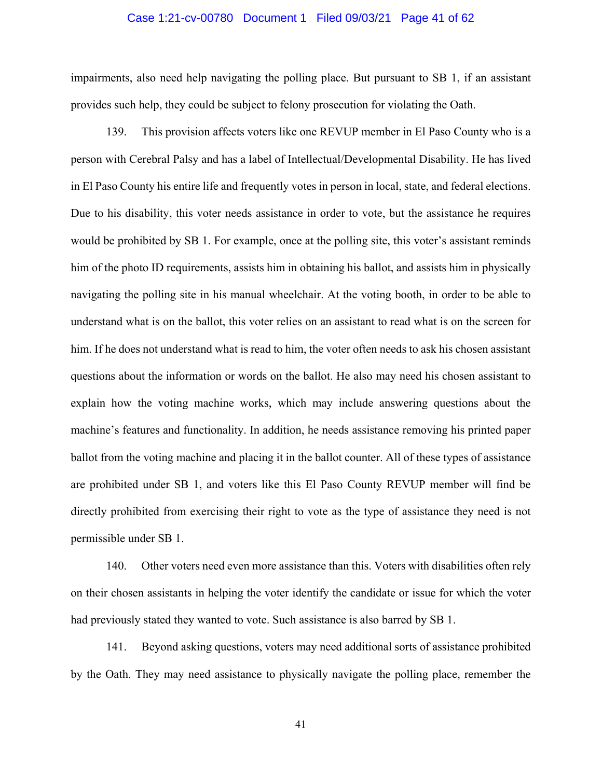#### Case 1:21-cv-00780 Document 1 Filed 09/03/21 Page 41 of 62

impairments, also need help navigating the polling place. But pursuant to SB 1, if an assistant provides such help, they could be subject to felony prosecution for violating the Oath.

139. This provision affects voters like one REVUP member in El Paso County who is a person with Cerebral Palsy and has a label of Intellectual/Developmental Disability. He has lived in El Paso County his entire life and frequently votes in person in local, state, and federal elections. Due to his disability, this voter needs assistance in order to vote, but the assistance he requires would be prohibited by SB 1. For example, once at the polling site, this voter's assistant reminds him of the photo ID requirements, assists him in obtaining his ballot, and assists him in physically navigating the polling site in his manual wheelchair. At the voting booth, in order to be able to understand what is on the ballot, this voter relies on an assistant to read what is on the screen for him. If he does not understand what is read to him, the voter often needs to ask his chosen assistant questions about the information or words on the ballot. He also may need his chosen assistant to explain how the voting machine works, which may include answering questions about the machine's features and functionality. In addition, he needs assistance removing his printed paper ballot from the voting machine and placing it in the ballot counter. All of these types of assistance are prohibited under SB 1, and voters like this El Paso County REVUP member will find be directly prohibited from exercising their right to vote as the type of assistance they need is not permissible under SB 1.

140. Other voters need even more assistance than this. Voters with disabilities often rely on their chosen assistants in helping the voter identify the candidate or issue for which the voter had previously stated they wanted to vote. Such assistance is also barred by SB 1.

141. Beyond asking questions, voters may need additional sorts of assistance prohibited by the Oath. They may need assistance to physically navigate the polling place, remember the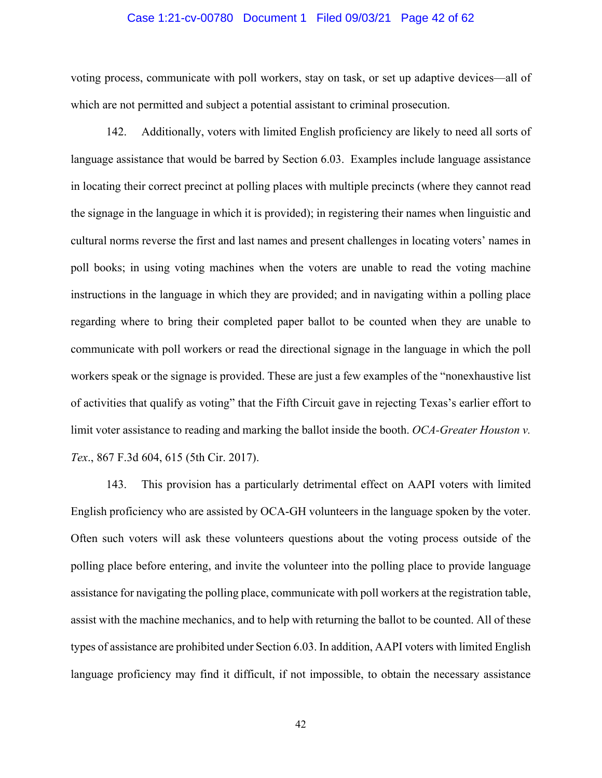#### Case 1:21-cv-00780 Document 1 Filed 09/03/21 Page 42 of 62

voting process, communicate with poll workers, stay on task, or set up adaptive devices—all of which are not permitted and subject a potential assistant to criminal prosecution.

142. Additionally, voters with limited English proficiency are likely to need all sorts of language assistance that would be barred by Section 6.03. Examples include language assistance in locating their correct precinct at polling places with multiple precincts (where they cannot read the signage in the language in which it is provided); in registering their names when linguistic and cultural norms reverse the first and last names and present challenges in locating voters' names in poll books; in using voting machines when the voters are unable to read the voting machine instructions in the language in which they are provided; and in navigating within a polling place regarding where to bring their completed paper ballot to be counted when they are unable to communicate with poll workers or read the directional signage in the language in which the poll workers speak or the signage is provided. These are just a few examples of the "nonexhaustive list of activities that qualify as voting" that the Fifth Circuit gave in rejecting Texas's earlier effort to limit voter assistance to reading and marking the ballot inside the booth. *OCA-Greater Houston v. Tex*., 867 F.3d 604, 615 (5th Cir. 2017).

143. This provision has a particularly detrimental effect on AAPI voters with limited English proficiency who are assisted by OCA-GH volunteers in the language spoken by the voter. Often such voters will ask these volunteers questions about the voting process outside of the polling place before entering, and invite the volunteer into the polling place to provide language assistance for navigating the polling place, communicate with poll workers at the registration table, assist with the machine mechanics, and to help with returning the ballot to be counted. All of these types of assistance are prohibited under Section 6.03. In addition, AAPI voters with limited English language proficiency may find it difficult, if not impossible, to obtain the necessary assistance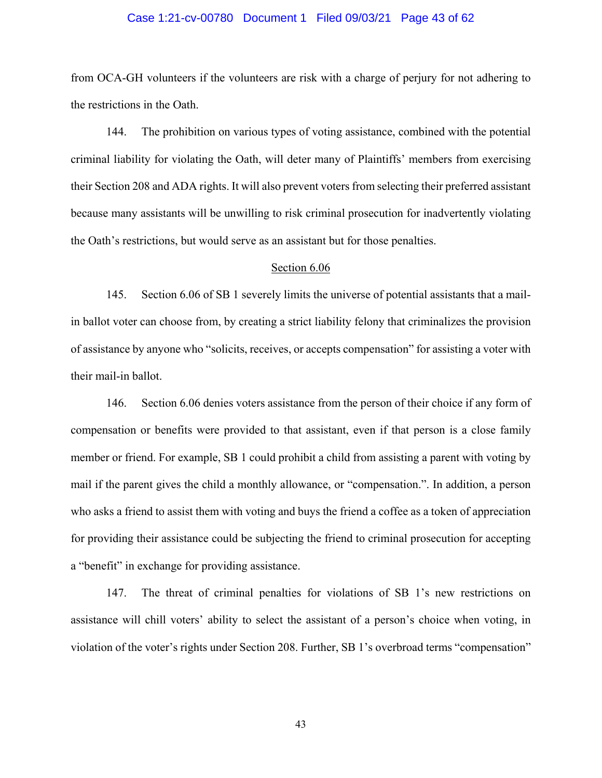#### Case 1:21-cv-00780 Document 1 Filed 09/03/21 Page 43 of 62

from OCA-GH volunteers if the volunteers are risk with a charge of perjury for not adhering to the restrictions in the Oath.

144. The prohibition on various types of voting assistance, combined with the potential criminal liability for violating the Oath, will deter many of Plaintiffs' members from exercising their Section 208 and ADA rights. It will also prevent voters from selecting their preferred assistant because many assistants will be unwilling to risk criminal prosecution for inadvertently violating the Oath's restrictions, but would serve as an assistant but for those penalties.

#### Section 6.06

145. Section 6.06 of SB 1 severely limits the universe of potential assistants that a mailin ballot voter can choose from, by creating a strict liability felony that criminalizes the provision of assistance by anyone who "solicits, receives, or accepts compensation" for assisting a voter with their mail-in ballot.

146. Section 6.06 denies voters assistance from the person of their choice if any form of compensation or benefits were provided to that assistant, even if that person is a close family member or friend. For example, SB 1 could prohibit a child from assisting a parent with voting by mail if the parent gives the child a monthly allowance, or "compensation.". In addition, a person who asks a friend to assist them with voting and buys the friend a coffee as a token of appreciation for providing their assistance could be subjecting the friend to criminal prosecution for accepting a "benefit" in exchange for providing assistance.

147. The threat of criminal penalties for violations of SB 1's new restrictions on assistance will chill voters' ability to select the assistant of a person's choice when voting, in violation of the voter's rights under Section 208. Further, SB 1's overbroad terms "compensation"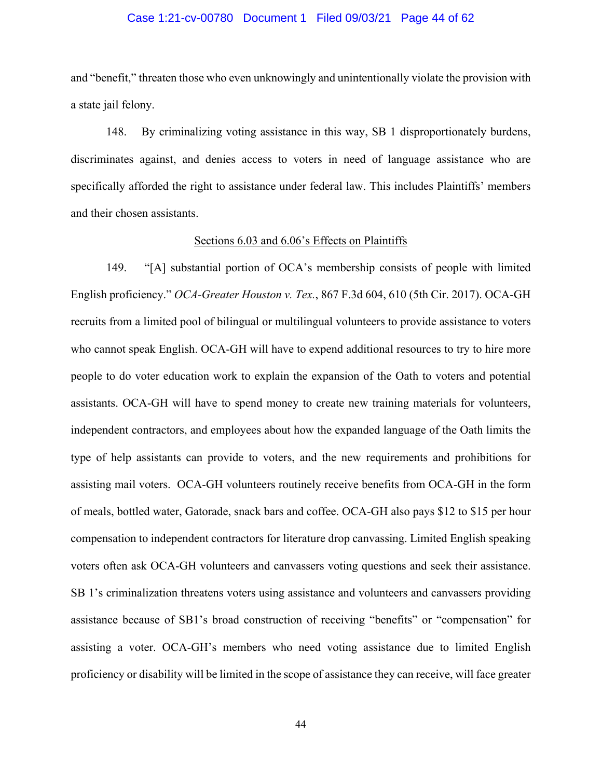#### Case 1:21-cv-00780 Document 1 Filed 09/03/21 Page 44 of 62

and "benefit," threaten those who even unknowingly and unintentionally violate the provision with a state jail felony.

148. By criminalizing voting assistance in this way, SB 1 disproportionately burdens, discriminates against, and denies access to voters in need of language assistance who are specifically afforded the right to assistance under federal law. This includes Plaintiffs' members and their chosen assistants.

#### Sections 6.03 and 6.06's Effects on Plaintiffs

149. "[A] substantial portion of OCA's membership consists of people with limited English proficiency." *OCA-Greater Houston v. Tex.*, 867 F.3d 604, 610 (5th Cir. 2017). OCA-GH recruits from a limited pool of bilingual or multilingual volunteers to provide assistance to voters who cannot speak English. OCA-GH will have to expend additional resources to try to hire more people to do voter education work to explain the expansion of the Oath to voters and potential assistants. OCA-GH will have to spend money to create new training materials for volunteers, independent contractors, and employees about how the expanded language of the Oath limits the type of help assistants can provide to voters, and the new requirements and prohibitions for assisting mail voters. OCA-GH volunteers routinely receive benefits from OCA-GH in the form of meals, bottled water, Gatorade, snack bars and coffee. OCA-GH also pays \$12 to \$15 per hour compensation to independent contractors for literature drop canvassing. Limited English speaking voters often ask OCA-GH volunteers and canvassers voting questions and seek their assistance. SB 1's criminalization threatens voters using assistance and volunteers and canvassers providing assistance because of SB1's broad construction of receiving "benefits" or "compensation" for assisting a voter. OCA-GH's members who need voting assistance due to limited English proficiency or disability will be limited in the scope of assistance they can receive, will face greater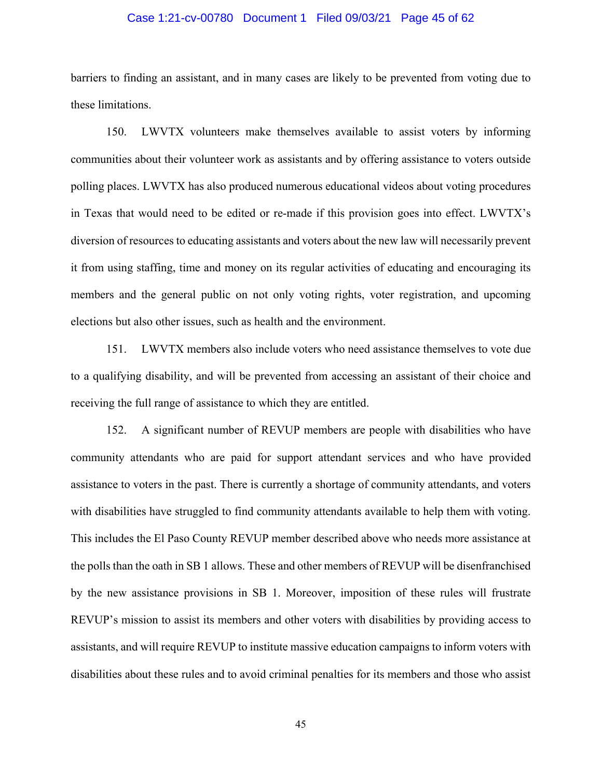#### Case 1:21-cv-00780 Document 1 Filed 09/03/21 Page 45 of 62

barriers to finding an assistant, and in many cases are likely to be prevented from voting due to these limitations.

150. LWVTX volunteers make themselves available to assist voters by informing communities about their volunteer work as assistants and by offering assistance to voters outside polling places. LWVTX has also produced numerous educational videos about voting procedures in Texas that would need to be edited or re-made if this provision goes into effect. LWVTX's diversion of resources to educating assistants and voters about the new law will necessarily prevent it from using staffing, time and money on its regular activities of educating and encouraging its members and the general public on not only voting rights, voter registration, and upcoming elections but also other issues, such as health and the environment.

151. LWVTX members also include voters who need assistance themselves to vote due to a qualifying disability, and will be prevented from accessing an assistant of their choice and receiving the full range of assistance to which they are entitled.

152. A significant number of REVUP members are people with disabilities who have community attendants who are paid for support attendant services and who have provided assistance to voters in the past. There is currently a shortage of community attendants, and voters with disabilities have struggled to find community attendants available to help them with voting. This includes the El Paso County REVUP member described above who needs more assistance at the polls than the oath in SB 1 allows. These and other members of REVUP will be disenfranchised by the new assistance provisions in SB 1. Moreover, imposition of these rules will frustrate REVUP's mission to assist its members and other voters with disabilities by providing access to assistants, and will require REVUP to institute massive education campaigns to inform voters with disabilities about these rules and to avoid criminal penalties for its members and those who assist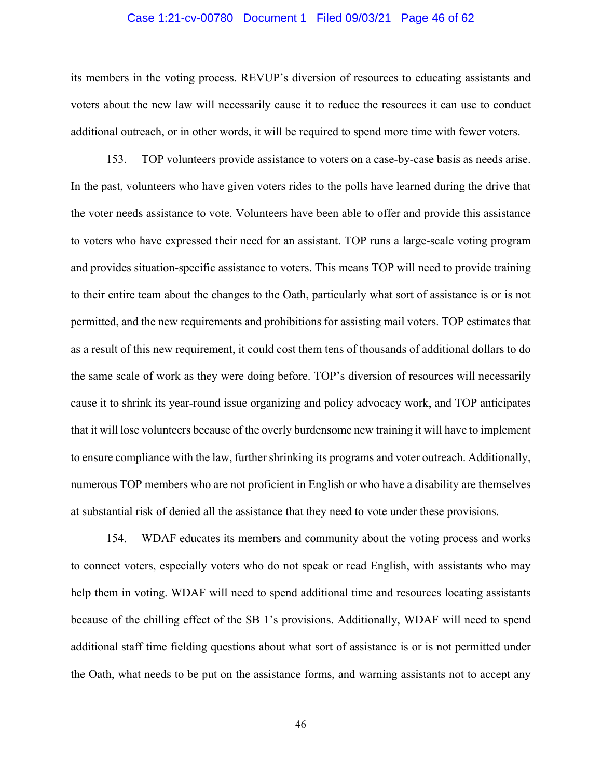#### Case 1:21-cv-00780 Document 1 Filed 09/03/21 Page 46 of 62

its members in the voting process. REVUP's diversion of resources to educating assistants and voters about the new law will necessarily cause it to reduce the resources it can use to conduct additional outreach, or in other words, it will be required to spend more time with fewer voters.

153. TOP volunteers provide assistance to voters on a case-by-case basis as needs arise. In the past, volunteers who have given voters rides to the polls have learned during the drive that the voter needs assistance to vote. Volunteers have been able to offer and provide this assistance to voters who have expressed their need for an assistant. TOP runs a large-scale voting program and provides situation-specific assistance to voters. This means TOP will need to provide training to their entire team about the changes to the Oath, particularly what sort of assistance is or is not permitted, and the new requirements and prohibitions for assisting mail voters. TOP estimates that as a result of this new requirement, it could cost them tens of thousands of additional dollars to do the same scale of work as they were doing before. TOP's diversion of resources will necessarily cause it to shrink its year-round issue organizing and policy advocacy work, and TOP anticipates that it will lose volunteers because of the overly burdensome new training it will have to implement to ensure compliance with the law, further shrinking its programs and voter outreach. Additionally, numerous TOP members who are not proficient in English or who have a disability are themselves at substantial risk of denied all the assistance that they need to vote under these provisions.

154. WDAF educates its members and community about the voting process and works to connect voters, especially voters who do not speak or read English, with assistants who may help them in voting. WDAF will need to spend additional time and resources locating assistants because of the chilling effect of the SB 1's provisions. Additionally, WDAF will need to spend additional staff time fielding questions about what sort of assistance is or is not permitted under the Oath, what needs to be put on the assistance forms, and warning assistants not to accept any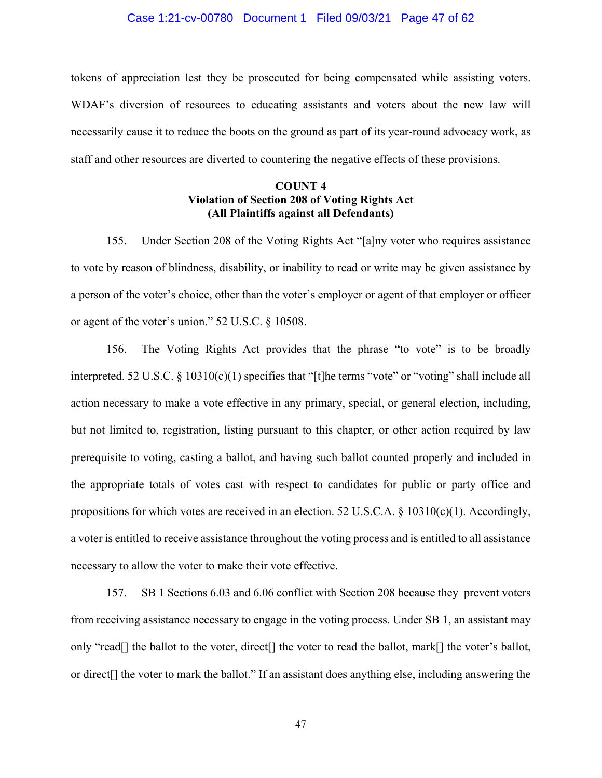#### Case 1:21-cv-00780 Document 1 Filed 09/03/21 Page 47 of 62

tokens of appreciation lest they be prosecuted for being compensated while assisting voters. WDAF's diversion of resources to educating assistants and voters about the new law will necessarily cause it to reduce the boots on the ground as part of its year-round advocacy work, as staff and other resources are diverted to countering the negative effects of these provisions.

## **COUNT 4 Violation of Section 208 of Voting Rights Act (All Plaintiffs against all Defendants)**

155. Under Section 208 of the Voting Rights Act "[a]ny voter who requires assistance to vote by reason of blindness, disability, or inability to read or write may be given assistance by a person of the voter's choice, other than the voter's employer or agent of that employer or officer or agent of the voter's union." 52 U.S.C. § 10508.

156. The Voting Rights Act provides that the phrase "to vote" is to be broadly interpreted. 52 U.S.C.  $\S 10310(c)(1)$  specifies that "[t]he terms "vote" or "voting" shall include all action necessary to make a vote effective in any primary, special, or general election, including, but not limited to, registration, listing pursuant to this chapter, or other action required by law prerequisite to voting, casting a ballot, and having such ballot counted properly and included in the appropriate totals of votes cast with respect to candidates for public or party office and propositions for which votes are received in an election. 52 U.S.C.A. § 10310(c)(1). Accordingly, a voter is entitled to receive assistance throughout the voting process and is entitled to all assistance necessary to allow the voter to make their vote effective.

157. SB 1 Sections 6.03 and 6.06 conflict with Section 208 because they prevent voters from receiving assistance necessary to engage in the voting process. Under SB 1, an assistant may only "read[] the ballot to the voter, direct[] the voter to read the ballot, mark[] the voter's ballot, or direct[] the voter to mark the ballot." If an assistant does anything else, including answering the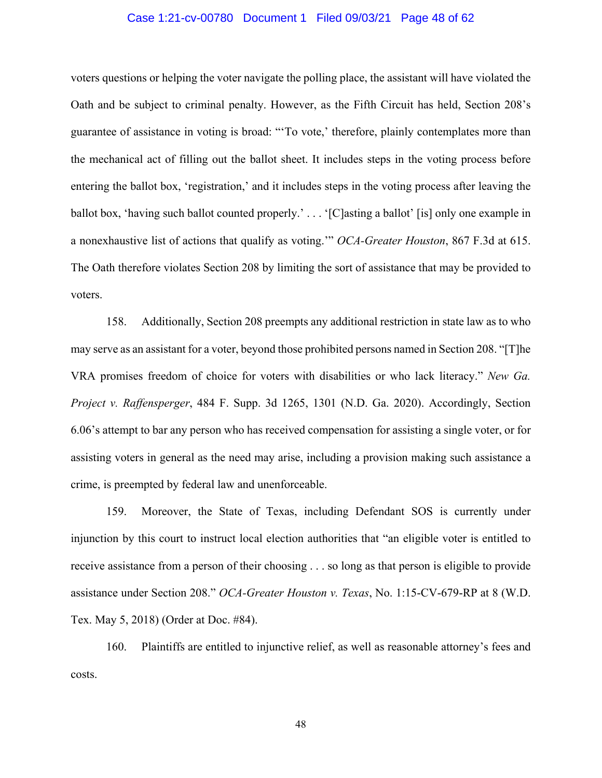#### Case 1:21-cv-00780 Document 1 Filed 09/03/21 Page 48 of 62

voters questions or helping the voter navigate the polling place, the assistant will have violated the Oath and be subject to criminal penalty. However, as the Fifth Circuit has held, Section 208's guarantee of assistance in voting is broad: "'To vote,' therefore, plainly contemplates more than the mechanical act of filling out the ballot sheet. It includes steps in the voting process before entering the ballot box, 'registration,' and it includes steps in the voting process after leaving the ballot box, 'having such ballot counted properly.' . . . '[C]asting a ballot' [is] only one example in a nonexhaustive list of actions that qualify as voting.'" *OCA-Greater Houston*, 867 F.3d at 615. The Oath therefore violates Section 208 by limiting the sort of assistance that may be provided to voters.

158. Additionally, Section 208 preempts any additional restriction in state law as to who may serve as an assistant for a voter, beyond those prohibited persons named in Section 208. "[T]he VRA promises freedom of choice for voters with disabilities or who lack literacy." *New Ga. Project v. Raffensperger*, 484 F. Supp. 3d 1265, 1301 (N.D. Ga. 2020). Accordingly, Section 6.06's attempt to bar any person who has received compensation for assisting a single voter, or for assisting voters in general as the need may arise, including a provision making such assistance a crime, is preempted by federal law and unenforceable.

159. Moreover, the State of Texas, including Defendant SOS is currently under injunction by this court to instruct local election authorities that "an eligible voter is entitled to receive assistance from a person of their choosing . . . so long as that person is eligible to provide assistance under Section 208." *OCA-Greater Houston v. Texas*, No. 1:15-CV-679-RP at 8 (W.D. Tex. May 5, 2018) (Order at Doc. #84).

160. Plaintiffs are entitled to injunctive relief, as well as reasonable attorney's fees and costs.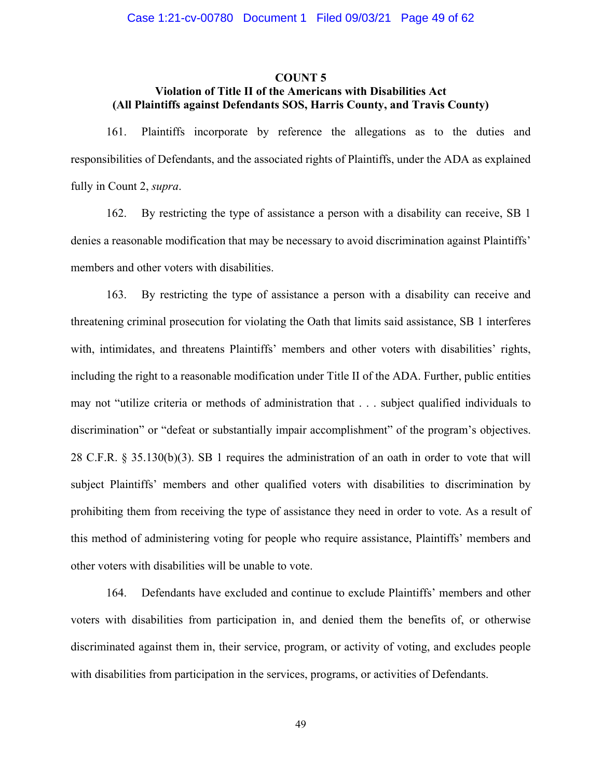#### **COUNT 5**

# **Violation of Title II of the Americans with Disabilities Act (All Plaintiffs against Defendants SOS, Harris County, and Travis County)**

161. Plaintiffs incorporate by reference the allegations as to the duties and responsibilities of Defendants, and the associated rights of Plaintiffs, under the ADA as explained fully in Count 2, *supra*.

162. By restricting the type of assistance a person with a disability can receive, SB 1 denies a reasonable modification that may be necessary to avoid discrimination against Plaintiffs' members and other voters with disabilities.

163. By restricting the type of assistance a person with a disability can receive and threatening criminal prosecution for violating the Oath that limits said assistance, SB 1 interferes with, intimidates, and threatens Plaintiffs' members and other voters with disabilities' rights, including the right to a reasonable modification under Title II of the ADA. Further, public entities may not "utilize criteria or methods of administration that . . . subject qualified individuals to discrimination" or "defeat or substantially impair accomplishment" of the program's objectives. 28 C.F.R. § 35.130(b)(3). SB 1 requires the administration of an oath in order to vote that will subject Plaintiffs' members and other qualified voters with disabilities to discrimination by prohibiting them from receiving the type of assistance they need in order to vote. As a result of this method of administering voting for people who require assistance, Plaintiffs' members and other voters with disabilities will be unable to vote.

164. Defendants have excluded and continue to exclude Plaintiffs' members and other voters with disabilities from participation in, and denied them the benefits of, or otherwise discriminated against them in, their service, program, or activity of voting, and excludes people with disabilities from participation in the services, programs, or activities of Defendants.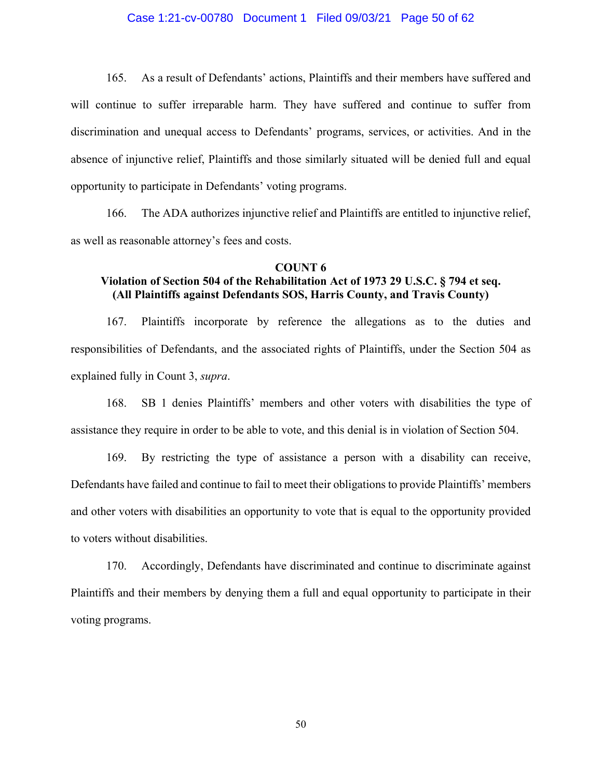### Case 1:21-cv-00780 Document 1 Filed 09/03/21 Page 50 of 62

165. As a result of Defendants' actions, Plaintiffs and their members have suffered and will continue to suffer irreparable harm. They have suffered and continue to suffer from discrimination and unequal access to Defendants' programs, services, or activities. And in the absence of injunctive relief, Plaintiffs and those similarly situated will be denied full and equal opportunity to participate in Defendants' voting programs.

166. The ADA authorizes injunctive relief and Plaintiffs are entitled to injunctive relief, as well as reasonable attorney's fees and costs.

#### **COUNT 6**

# **Violation of Section 504 of the Rehabilitation Act of 1973 29 U.S.C. § 794 et seq. (All Plaintiffs against Defendants SOS, Harris County, and Travis County)**

167. Plaintiffs incorporate by reference the allegations as to the duties and responsibilities of Defendants, and the associated rights of Plaintiffs, under the Section 504 as explained fully in Count 3, *supra*.

168. SB 1 denies Plaintiffs' members and other voters with disabilities the type of assistance they require in order to be able to vote, and this denial is in violation of Section 504.

169. By restricting the type of assistance a person with a disability can receive, Defendants have failed and continue to fail to meet their obligations to provide Plaintiffs' members and other voters with disabilities an opportunity to vote that is equal to the opportunity provided to voters without disabilities.

170. Accordingly, Defendants have discriminated and continue to discriminate against Plaintiffs and their members by denying them a full and equal opportunity to participate in their voting programs.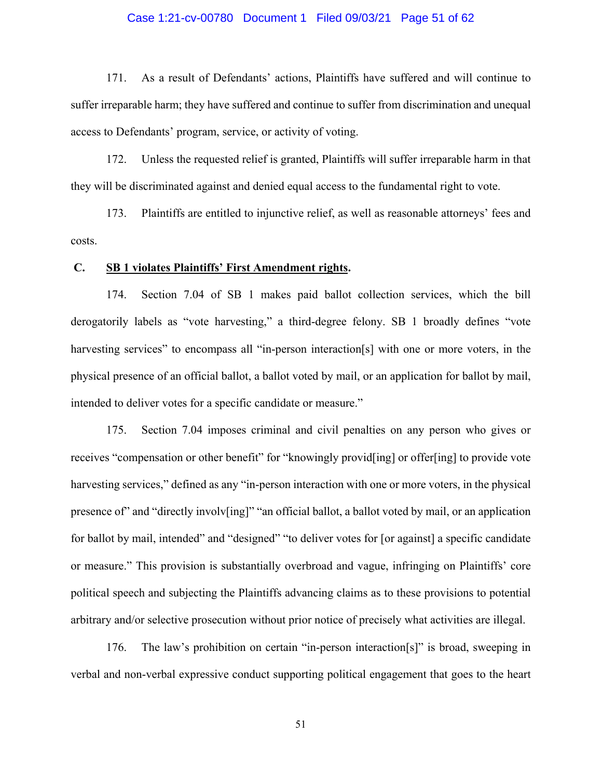#### Case 1:21-cv-00780 Document 1 Filed 09/03/21 Page 51 of 62

171. As a result of Defendants' actions, Plaintiffs have suffered and will continue to suffer irreparable harm; they have suffered and continue to suffer from discrimination and unequal access to Defendants' program, service, or activity of voting.

172. Unless the requested relief is granted, Plaintiffs will suffer irreparable harm in that they will be discriminated against and denied equal access to the fundamental right to vote.

173. Plaintiffs are entitled to injunctive relief, as well as reasonable attorneys' fees and costs.

#### **C. SB 1 violates Plaintiffs' First Amendment rights.**

174. Section 7.04 of SB 1 makes paid ballot collection services, which the bill derogatorily labels as "vote harvesting," a third-degree felony. SB 1 broadly defines "vote harvesting services" to encompass all "in-person interaction[s] with one or more voters, in the physical presence of an official ballot, a ballot voted by mail, or an application for ballot by mail, intended to deliver votes for a specific candidate or measure."

175. Section 7.04 imposes criminal and civil penalties on any person who gives or receives "compensation or other benefit" for "knowingly provid [ing] or offer[ing] to provide vote harvesting services," defined as any "in-person interaction with one or more voters, in the physical presence of" and "directly involv[ing]" "an official ballot, a ballot voted by mail, or an application for ballot by mail, intended" and "designed" "to deliver votes for [or against] a specific candidate or measure." This provision is substantially overbroad and vague, infringing on Plaintiffs' core political speech and subjecting the Plaintiffs advancing claims as to these provisions to potential arbitrary and/or selective prosecution without prior notice of precisely what activities are illegal.

176. The law's prohibition on certain "in-person interaction[s]" is broad, sweeping in verbal and non-verbal expressive conduct supporting political engagement that goes to the heart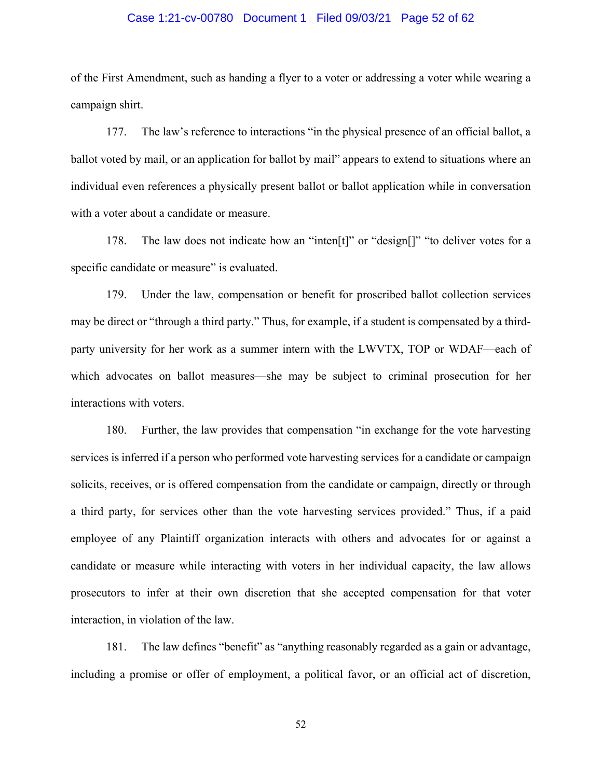#### Case 1:21-cv-00780 Document 1 Filed 09/03/21 Page 52 of 62

of the First Amendment, such as handing a flyer to a voter or addressing a voter while wearing a campaign shirt.

177. The law's reference to interactions "in the physical presence of an official ballot, a ballot voted by mail, or an application for ballot by mail" appears to extend to situations where an individual even references a physically present ballot or ballot application while in conversation with a voter about a candidate or measure.

178. The law does not indicate how an "inten[t]" or "design[]" "to deliver votes for a specific candidate or measure" is evaluated.

179. Under the law, compensation or benefit for proscribed ballot collection services may be direct or "through a third party." Thus, for example, if a student is compensated by a thirdparty university for her work as a summer intern with the LWVTX, TOP or WDAF—each of which advocates on ballot measures—she may be subject to criminal prosecution for her interactions with voters.

180. Further, the law provides that compensation "in exchange for the vote harvesting services is inferred if a person who performed vote harvesting services for a candidate or campaign solicits, receives, or is offered compensation from the candidate or campaign, directly or through a third party, for services other than the vote harvesting services provided." Thus, if a paid employee of any Plaintiff organization interacts with others and advocates for or against a candidate or measure while interacting with voters in her individual capacity, the law allows prosecutors to infer at their own discretion that she accepted compensation for that voter interaction, in violation of the law.

181. The law defines "benefit" as "anything reasonably regarded as a gain or advantage, including a promise or offer of employment, a political favor, or an official act of discretion,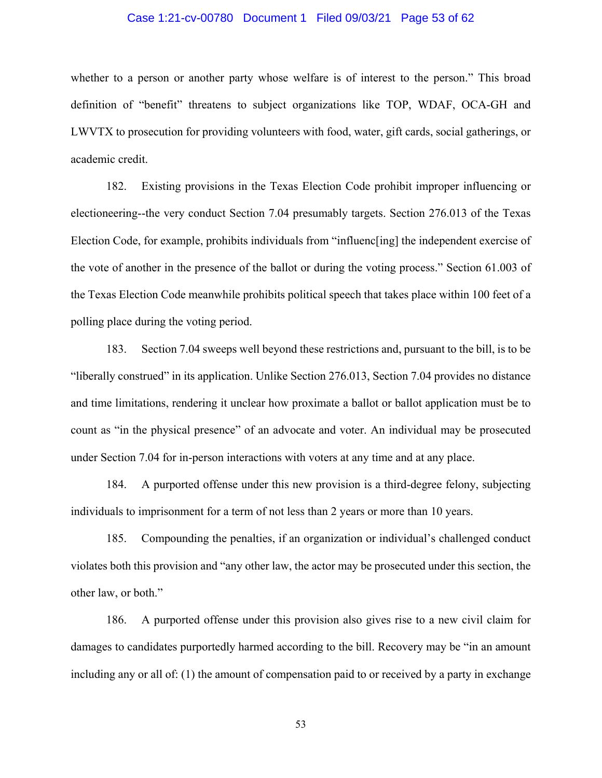#### Case 1:21-cv-00780 Document 1 Filed 09/03/21 Page 53 of 62

whether to a person or another party whose welfare is of interest to the person." This broad definition of "benefit" threatens to subject organizations like TOP, WDAF, OCA-GH and LWVTX to prosecution for providing volunteers with food, water, gift cards, social gatherings, or academic credit.

182. Existing provisions in the Texas Election Code prohibit improper influencing or electioneering--the very conduct Section 7.04 presumably targets. Section 276.013 of the Texas Election Code, for example, prohibits individuals from "influenc[ing] the independent exercise of the vote of another in the presence of the ballot or during the voting process." Section 61.003 of the Texas Election Code meanwhile prohibits political speech that takes place within 100 feet of a polling place during the voting period.

183. Section 7.04 sweeps well beyond these restrictions and, pursuant to the bill, is to be "liberally construed" in its application. Unlike Section 276.013, Section 7.04 provides no distance and time limitations, rendering it unclear how proximate a ballot or ballot application must be to count as "in the physical presence" of an advocate and voter. An individual may be prosecuted under Section 7.04 for in-person interactions with voters at any time and at any place.

184. A purported offense under this new provision is a third-degree felony, subjecting individuals to imprisonment for a term of not less than 2 years or more than 10 years.

185. Compounding the penalties, if an organization or individual's challenged conduct violates both this provision and "any other law, the actor may be prosecuted under this section, the other law, or both."

186. A purported offense under this provision also gives rise to a new civil claim for damages to candidates purportedly harmed according to the bill. Recovery may be "in an amount including any or all of: (1) the amount of compensation paid to or received by a party in exchange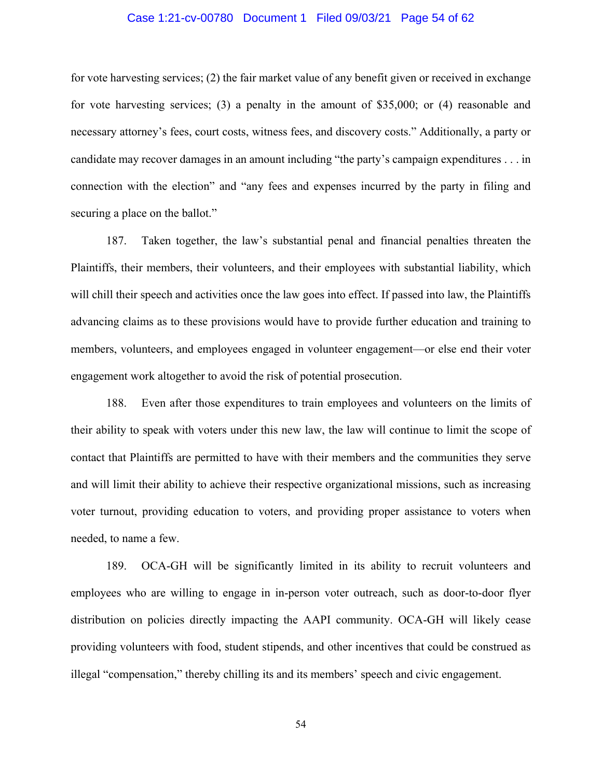#### Case 1:21-cv-00780 Document 1 Filed 09/03/21 Page 54 of 62

for vote harvesting services; (2) the fair market value of any benefit given or received in exchange for vote harvesting services; (3) a penalty in the amount of \$35,000; or (4) reasonable and necessary attorney's fees, court costs, witness fees, and discovery costs." Additionally, a party or candidate may recover damages in an amount including "the party's campaign expenditures . . . in connection with the election" and "any fees and expenses incurred by the party in filing and securing a place on the ballot."

187. Taken together, the law's substantial penal and financial penalties threaten the Plaintiffs, their members, their volunteers, and their employees with substantial liability, which will chill their speech and activities once the law goes into effect. If passed into law, the Plaintiffs advancing claims as to these provisions would have to provide further education and training to members, volunteers, and employees engaged in volunteer engagement—or else end their voter engagement work altogether to avoid the risk of potential prosecution.

188. Even after those expenditures to train employees and volunteers on the limits of their ability to speak with voters under this new law, the law will continue to limit the scope of contact that Plaintiffs are permitted to have with their members and the communities they serve and will limit their ability to achieve their respective organizational missions, such as increasing voter turnout, providing education to voters, and providing proper assistance to voters when needed, to name a few.

189. OCA-GH will be significantly limited in its ability to recruit volunteers and employees who are willing to engage in in-person voter outreach, such as door-to-door flyer distribution on policies directly impacting the AAPI community. OCA-GH will likely cease providing volunteers with food, student stipends, and other incentives that could be construed as illegal "compensation," thereby chilling its and its members' speech and civic engagement.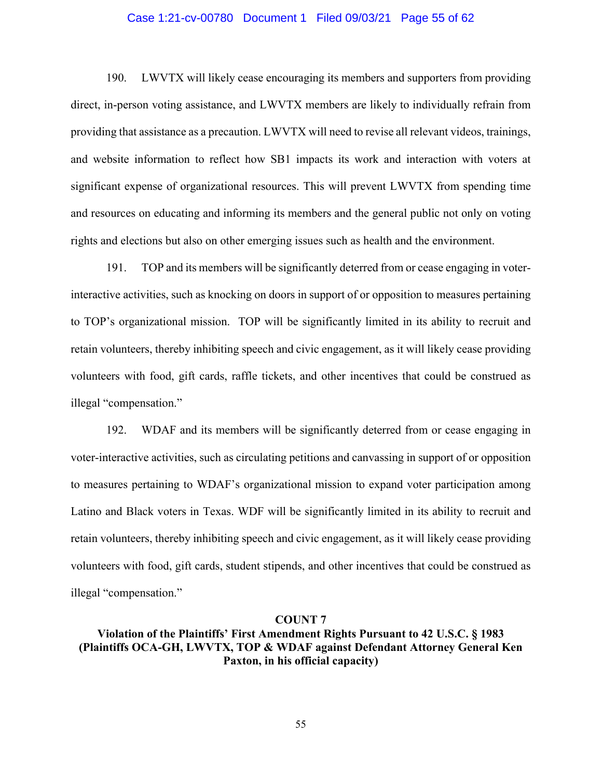### Case 1:21-cv-00780 Document 1 Filed 09/03/21 Page 55 of 62

190. LWVTX will likely cease encouraging its members and supporters from providing direct, in-person voting assistance, and LWVTX members are likely to individually refrain from providing that assistance as a precaution. LWVTX will need to revise all relevant videos, trainings, and website information to reflect how SB1 impacts its work and interaction with voters at significant expense of organizational resources. This will prevent LWVTX from spending time and resources on educating and informing its members and the general public not only on voting rights and elections but also on other emerging issues such as health and the environment.

191. TOP and its members will be significantly deterred from or cease engaging in voterinteractive activities, such as knocking on doors in support of or opposition to measures pertaining to TOP's organizational mission. TOP will be significantly limited in its ability to recruit and retain volunteers, thereby inhibiting speech and civic engagement, as it will likely cease providing volunteers with food, gift cards, raffle tickets, and other incentives that could be construed as illegal "compensation."

192. WDAF and its members will be significantly deterred from or cease engaging in voter-interactive activities, such as circulating petitions and canvassing in support of or opposition to measures pertaining to WDAF's organizational mission to expand voter participation among Latino and Black voters in Texas. WDF will be significantly limited in its ability to recruit and retain volunteers, thereby inhibiting speech and civic engagement, as it will likely cease providing volunteers with food, gift cards, student stipends, and other incentives that could be construed as illegal "compensation."

#### **COUNT 7**

# **Violation of the Plaintiffs' First Amendment Rights Pursuant to 42 U.S.C. § 1983 (Plaintiffs OCA-GH, LWVTX, TOP & WDAF against Defendant Attorney General Ken Paxton, in his official capacity)**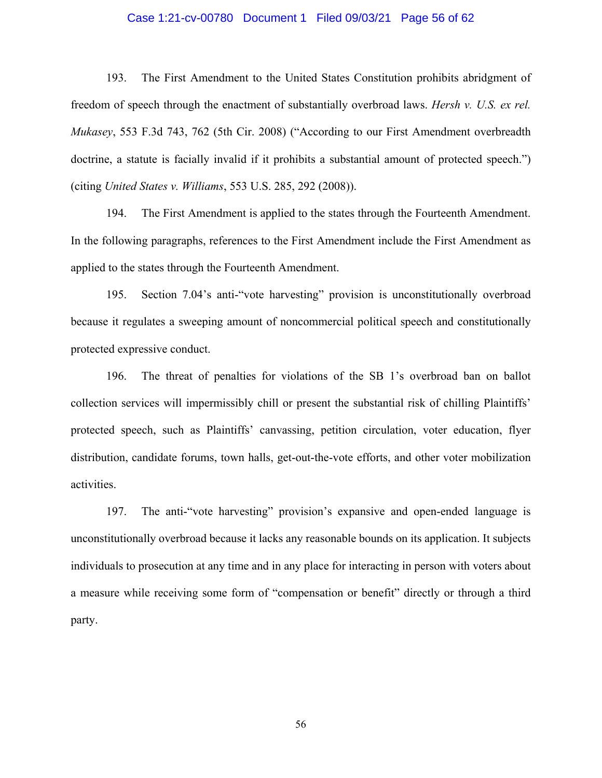#### Case 1:21-cv-00780 Document 1 Filed 09/03/21 Page 56 of 62

193. The First Amendment to the United States Constitution prohibits abridgment of freedom of speech through the enactment of substantially overbroad laws. *Hersh v. U.S. ex rel. Mukasey*, 553 F.3d 743, 762 (5th Cir. 2008) ("According to our First Amendment overbreadth doctrine, a statute is facially invalid if it prohibits a substantial amount of protected speech.") (citing *United States v. Williams*, 553 U.S. 285, 292 (2008)).

194. The First Amendment is applied to the states through the Fourteenth Amendment. In the following paragraphs, references to the First Amendment include the First Amendment as applied to the states through the Fourteenth Amendment.

195. Section 7.04's anti-"vote harvesting" provision is unconstitutionally overbroad because it regulates a sweeping amount of noncommercial political speech and constitutionally protected expressive conduct.

196. The threat of penalties for violations of the SB 1's overbroad ban on ballot collection services will impermissibly chill or present the substantial risk of chilling Plaintiffs' protected speech, such as Plaintiffs' canvassing, petition circulation, voter education, flyer distribution, candidate forums, town halls, get-out-the-vote efforts, and other voter mobilization activities.

197. The anti-"vote harvesting" provision's expansive and open-ended language is unconstitutionally overbroad because it lacks any reasonable bounds on its application. It subjects individuals to prosecution at any time and in any place for interacting in person with voters about a measure while receiving some form of "compensation or benefit" directly or through a third party.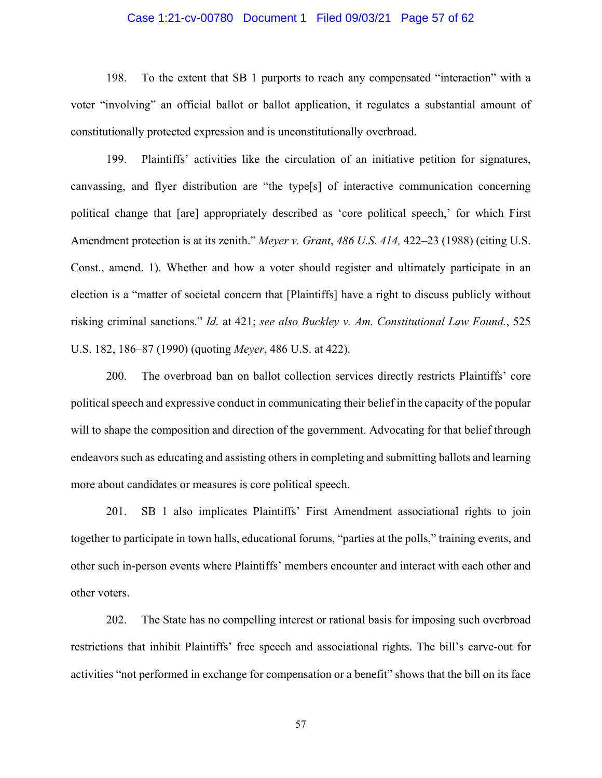### Case 1:21-cv-00780 Document 1 Filed 09/03/21 Page 57 of 62

198. To the extent that SB 1 purports to reach any compensated "interaction" with a voter "involving" an official ballot or ballot application, it regulates a substantial amount of constitutionally protected expression and is unconstitutionally overbroad.

199. Plaintiffs' activities like the circulation of an initiative petition for signatures, canvassing, and flyer distribution are "the type[s] of interactive communication concerning political change that [are] appropriately described as 'core political speech,' for which First Amendment protection is at its zenith." *Meyer v. Grant*, *486 U.S. 414,* 422–23 (1988) (citing U.S. Const., amend. 1). Whether and how a voter should register and ultimately participate in an election is a "matter of societal concern that [Plaintiffs] have a right to discuss publicly without risking criminal sanctions." *Id.* at 421; *see also Buckley v. Am. Constitutional Law Found.*, 525 U.S. 182, 186–87 (1990) (quoting *Meyer*, 486 U.S. at 422).

200. The overbroad ban on ballot collection services directly restricts Plaintiffs' core political speech and expressive conduct in communicating their belief in the capacity of the popular will to shape the composition and direction of the government. Advocating for that belief through endeavors such as educating and assisting others in completing and submitting ballots and learning more about candidates or measures is core political speech.

201. SB 1 also implicates Plaintiffs' First Amendment associational rights to join together to participate in town halls, educational forums, "parties at the polls," training events, and other such in-person events where Plaintiffs' members encounter and interact with each other and other voters.

202. The State has no compelling interest or rational basis for imposing such overbroad restrictions that inhibit Plaintiffs' free speech and associational rights. The bill's carve-out for activities "not performed in exchange for compensation or a benefit" shows that the bill on its face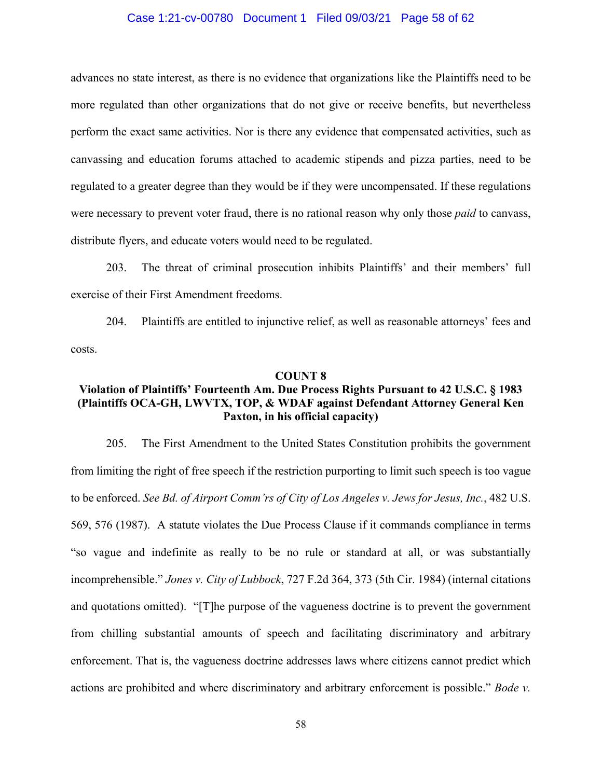#### Case 1:21-cv-00780 Document 1 Filed 09/03/21 Page 58 of 62

advances no state interest, as there is no evidence that organizations like the Plaintiffs need to be more regulated than other organizations that do not give or receive benefits, but nevertheless perform the exact same activities. Nor is there any evidence that compensated activities, such as canvassing and education forums attached to academic stipends and pizza parties, need to be regulated to a greater degree than they would be if they were uncompensated. If these regulations were necessary to prevent voter fraud, there is no rational reason why only those *paid* to canvass, distribute flyers, and educate voters would need to be regulated.

203. The threat of criminal prosecution inhibits Plaintiffs' and their members' full exercise of their First Amendment freedoms.

204. Plaintiffs are entitled to injunctive relief, as well as reasonable attorneys' fees and costs.

#### **COUNT 8**

## **Violation of Plaintiffs' Fourteenth Am. Due Process Rights Pursuant to 42 U.S.C. § 1983 (Plaintiffs OCA-GH, LWVTX, TOP, & WDAF against Defendant Attorney General Ken Paxton, in his official capacity)**

205. The First Amendment to the United States Constitution prohibits the government from limiting the right of free speech if the restriction purporting to limit such speech is too vague to be enforced. *See Bd. of Airport Comm'rs of City of Los Angeles v. Jews for Jesus, Inc.*, 482 U.S. 569, 576 (1987). A statute violates the Due Process Clause if it commands compliance in terms "so vague and indefinite as really to be no rule or standard at all, or was substantially incomprehensible." *Jones v. City of Lubbock*, 727 F.2d 364, 373 (5th Cir. 1984) (internal citations and quotations omitted). "[T]he purpose of the vagueness doctrine is to prevent the government from chilling substantial amounts of speech and facilitating discriminatory and arbitrary enforcement. That is, the vagueness doctrine addresses laws where citizens cannot predict which actions are prohibited and where discriminatory and arbitrary enforcement is possible." *Bode v.*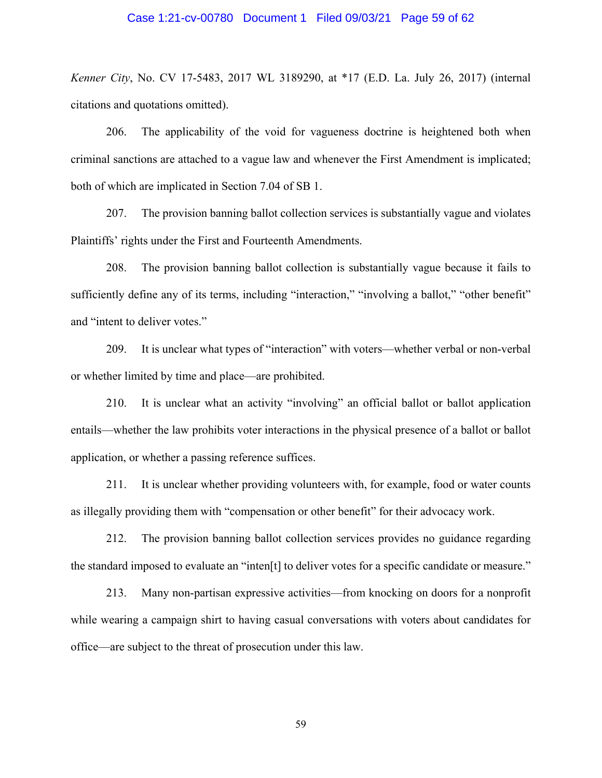#### Case 1:21-cv-00780 Document 1 Filed 09/03/21 Page 59 of 62

*Kenner City*, No. CV 17-5483, 2017 WL 3189290, at \*17 (E.D. La. July 26, 2017) (internal citations and quotations omitted).

206. The applicability of the void for vagueness doctrine is heightened both when criminal sanctions are attached to a vague law and whenever the First Amendment is implicated; both of which are implicated in Section 7.04 of SB 1.

207. The provision banning ballot collection services is substantially vague and violates Plaintiffs' rights under the First and Fourteenth Amendments.

208. The provision banning ballot collection is substantially vague because it fails to sufficiently define any of its terms, including "interaction," "involving a ballot," "other benefit" and "intent to deliver votes."

209. It is unclear what types of "interaction" with voters—whether verbal or non-verbal or whether limited by time and place—are prohibited.

210. It is unclear what an activity "involving" an official ballot or ballot application entails—whether the law prohibits voter interactions in the physical presence of a ballot or ballot application, or whether a passing reference suffices.

211. It is unclear whether providing volunteers with, for example, food or water counts as illegally providing them with "compensation or other benefit" for their advocacy work.

212. The provision banning ballot collection services provides no guidance regarding the standard imposed to evaluate an "inten[t] to deliver votes for a specific candidate or measure."

213. Many non-partisan expressive activities—from knocking on doors for a nonprofit while wearing a campaign shirt to having casual conversations with voters about candidates for office—are subject to the threat of prosecution under this law.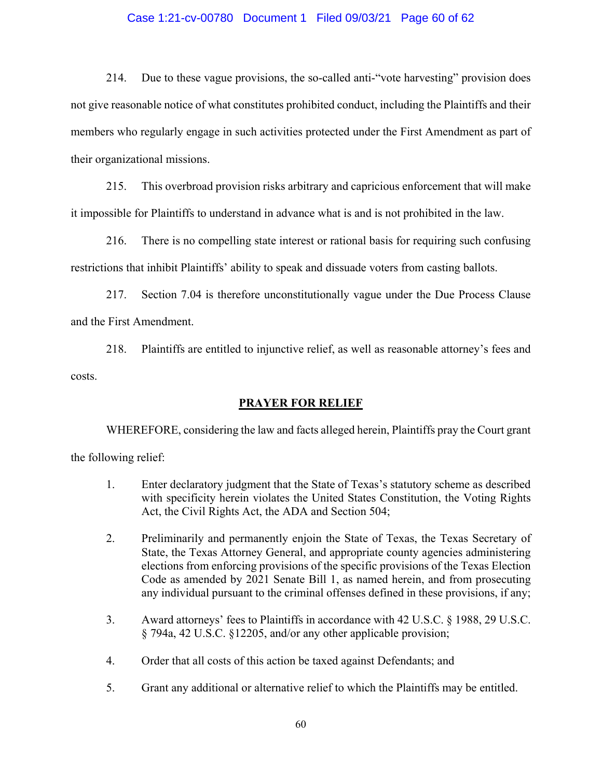### Case 1:21-cv-00780 Document 1 Filed 09/03/21 Page 60 of 62

214. Due to these vague provisions, the so-called anti-"vote harvesting" provision does not give reasonable notice of what constitutes prohibited conduct, including the Plaintiffs and their members who regularly engage in such activities protected under the First Amendment as part of their organizational missions.

215. This overbroad provision risks arbitrary and capricious enforcement that will make it impossible for Plaintiffs to understand in advance what is and is not prohibited in the law.

216. There is no compelling state interest or rational basis for requiring such confusing restrictions that inhibit Plaintiffs' ability to speak and dissuade voters from casting ballots.

217. Section 7.04 is therefore unconstitutionally vague under the Due Process Clause and the First Amendment.

218. Plaintiffs are entitled to injunctive relief, as well as reasonable attorney's fees and costs.

## **PRAYER FOR RELIEF**

WHEREFORE, considering the law and facts alleged herein, Plaintiffs pray the Court grant the following relief:

- 1. Enter declaratory judgment that the State of Texas's statutory scheme as described with specificity herein violates the United States Constitution, the Voting Rights Act, the Civil Rights Act, the ADA and Section 504;
- 2. Preliminarily and permanently enjoin the State of Texas, the Texas Secretary of State, the Texas Attorney General, and appropriate county agencies administering elections from enforcing provisions of the specific provisions of the Texas Election Code as amended by 2021 Senate Bill 1, as named herein, and from prosecuting any individual pursuant to the criminal offenses defined in these provisions, if any;
- 3. Award attorneys' fees to Plaintiffs in accordance with 42 U.S.C. § 1988, 29 U.S.C. § 794a, 42 U.S.C. §12205, and/or any other applicable provision;
- 4. Order that all costs of this action be taxed against Defendants; and
- 5. Grant any additional or alternative relief to which the Plaintiffs may be entitled.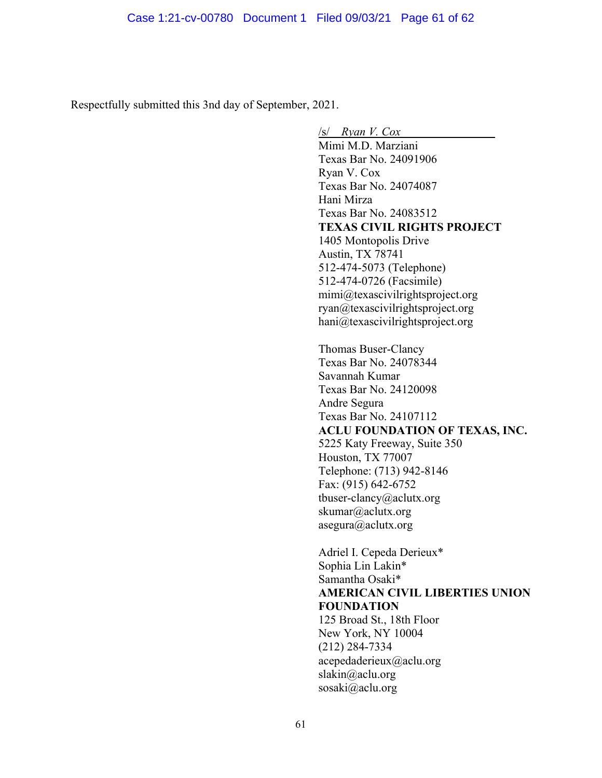Respectfully submitted this 3nd day of September, 2021.

 $\sqrt{s}$  *Ryan V. Cox* Mimi M.D. Marziani Texas Bar No. 24091906 Ryan V. Cox Texas Bar No. 24074087 Hani Mirza Texas Bar No. 24083512 **TEXAS CIVIL RIGHTS PROJECT**  1405 Montopolis Drive Austin, TX 78741 512-474-5073 (Telephone) 512-474-0726 (Facsimile) mimi@texascivilrightsproject.org ryan@texascivilrightsproject.org hani@texascivilrightsproject.org Thomas Buser-Clancy Texas Bar No. 24078344 Savannah Kumar Texas Bar No. 24120098 Andre Segura Texas Bar No. 24107112 **ACLU FOUNDATION OF TEXAS, INC.**  5225 Katy Freeway, Suite 350 Houston, TX 77007 Telephone: (713) 942-8146 Fax: (915) 642-6752 tbuser-clancy@aclutx.org skumar@aclutx.org asegura@aclutx.org Adriel I. Cepeda Derieux\* Sophia Lin Lakin\* Samantha Osaki\* **AMERICAN CIVIL LIBERTIES UNION FOUNDATION** 

125 Broad St., 18th Floor New York, NY 10004 (212) 284-7334 acepedaderieux@aclu.org slakin@aclu.org sosaki@aclu.org